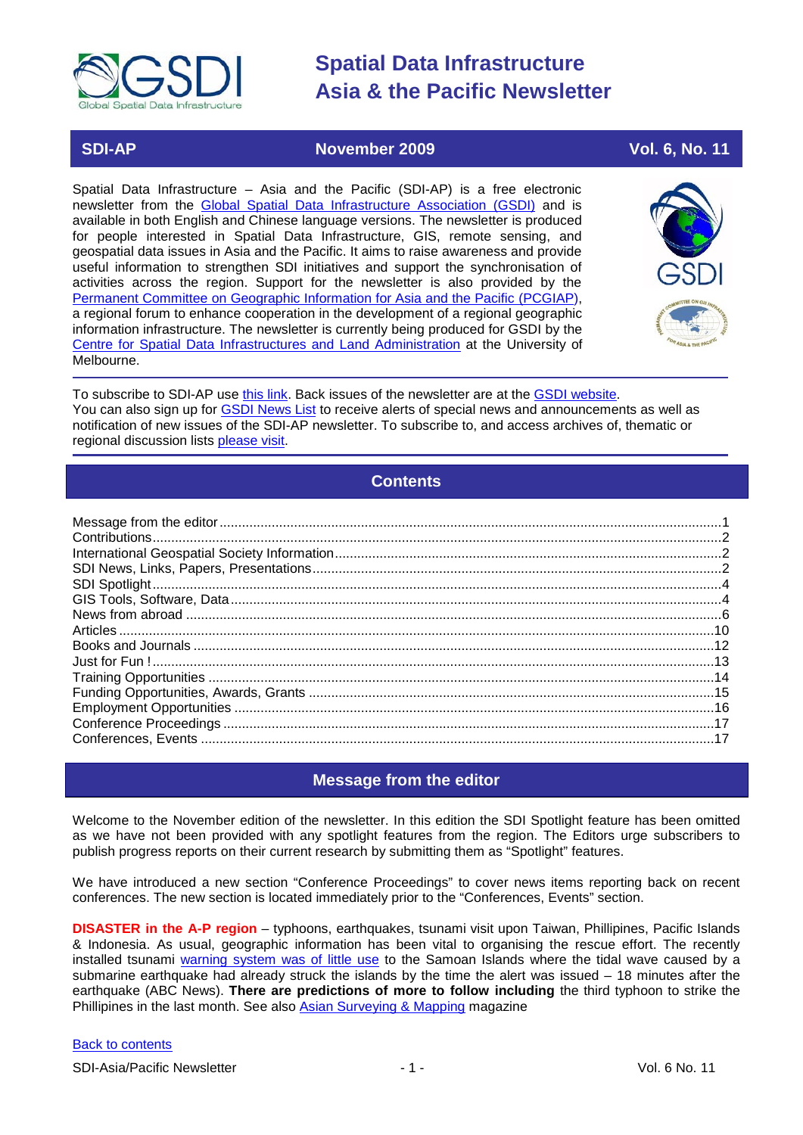

### **SDI-AP November 2009 Vol. 6, No. 11**

Spatial Data Infrastructure – Asia and the Pacific (SDI-AP) is a free electronic newsletter from the [Global Spatial Data Infrastructure Association \(GSDI\)](http://www.gsdi.org/) and is available in both English and Chinese language versions. The newsletter is produced for people interested in Spatial Data Infrastructure, GIS, remote sensing, and geospatial data issues in Asia and the Pacific. It aims to raise awareness and provide useful information to strengthen SDI initiatives and support the synchronisation of activities across the region. Support for the newsletter is also provided by the [Permanent Committee on Geographic Information for Asia and the Pacific \(PCGIAP\)](http://www.pcgiap.org/), a regional forum to enhance cooperation in the development of a regional geographic information infrastructure. The newsletter is currently being produced for GSDI by the [Centre for Spatial Data Infrastructures and Land Administration](http://www.csdila.unimelb.edu.au/) at the University of Melbourne.



To subscribe to SDI-AP use [this link.](http://www.gsdi.org/newslist/gsdisubscribe.asp) Back issues of the newsletter are at the [GSDI website.](http://www.gsdi.org/newsletters.asp) You can also sign up for **GSDI News List** to receive alerts of special news and announcements as well as notification of new issues of the SDI-AP newsletter. To subscribe to, and access archives of, thematic or regional discussion lists [please visit.](http://www.gsdi.org/discussionlists.asp)

# **Contents**

<span id="page-0-0"></span>

# **Message from the editor**

<span id="page-0-1"></span>Welcome to the November edition of the newsletter. In this edition the SDI Spotlight feature has been omitted as we have not been provided with any spotlight features from the region. The Editors urge subscribers to publish progress reports on their current research by submitting them as "Spotlight" features.

We have introduced a new section "Conference Proceedings" to cover news items reporting back on recent conferences. The new section is located immediately prior to the "Conferences, Events" section.

**DISASTER in the A-P region** – typhoons, earthquakes, tsunami visit upon Taiwan, Phillipines, Pacific Islands & Indonesia. As usual, geographic information has been vital to organising the rescue effort. The recently installed tsunami [warning system was of little use](http://abcnews.go.com/Technology/samoa-tsunami-lesson-early-warning-system-slow/Story?id=8726174&page=2) to the Samoan Islands where the tidal wave caused by a submarine earthquake had already struck the islands by the time the alert was issued – 18 minutes after the earthquake (ABC News). **There are predictions of more to follow including** the third typhoon to strike the Phillipines in the last month. See also [Asian Surveying & Mapping](http://www.asmmag.com/news/disasters-in-the-pacific) magazine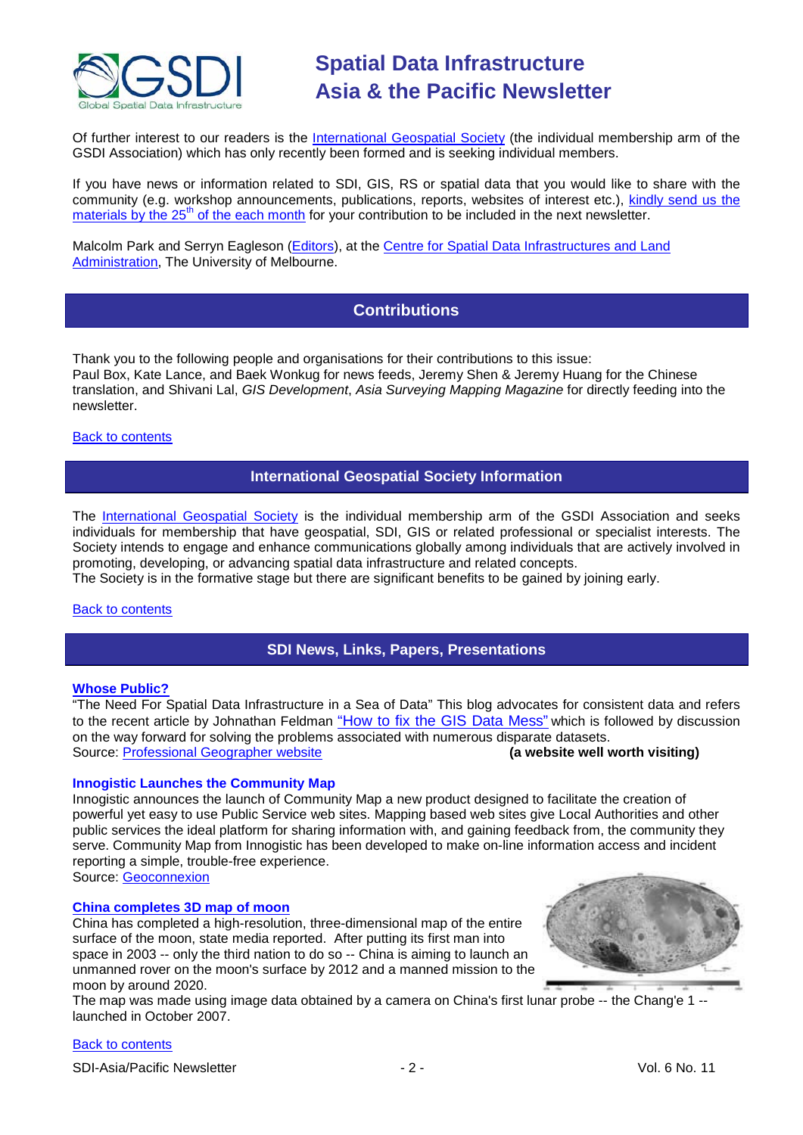

Of further interest to our readers is the [International Geospatial Society](http://www.igeoss.org/) (the individual membership arm of the GSDI Association) which has only recently been formed and is seeking individual members.

If you have news or information related to SDI, GIS, RS or spatial data that you would like to share with the community (e.g. workshop announcements, publications, reports, websites of interest etc.), [kindly send us](mailto:sdi-ap@gsdi.org) the materials by the  $25<sup>th</sup>$  of the each month for your contribution to be included in the next newsletter.

<span id="page-1-0"></span>Malcolm Park and Serryn Eagleson [\(Editors\)](mailto:Editor.SDIAP@gmail.com), at the [Centre for Spatial Data Infrastructures and Land](http://www.csdila.unimelb.edu.au/)  [Administration,](http://www.csdila.unimelb.edu.au/) The University of Melbourne.

# **Contributions**

Thank you to the following people and organisations for their contributions to this issue: Paul Box, Kate Lance, and Baek Wonkug for news feeds, Jeremy Shen & Jeremy Huang for the Chinese translation, and Shivani Lal, *GIS Development*, *Asia Surveying Mapping Magazine* for directly feeding into the newsletter.

### <span id="page-1-1"></span>[Back to contents](#page-0-0)

### **International Geospatial Society Information**

The [International Geospatial Society](http://www.igeoss.org/) is the individual membership arm of the GSDI Association and seeks individuals for membership that have geospatial, SDI, GIS or related professional or specialist interests. The Society intends to engage and enhance communications globally among individuals that are actively involved in promoting, developing, or advancing spatial data infrastructure and related concepts.

The Society is in the formative stage but there are significant benefits to be gained by joining early.

### <span id="page-1-2"></span>[Back to contents](#page-0-0)

### **SDI News, Links, Papers, Presentations**

### **[Whose Public?](http://drjill.net/?p=562)**

"The Need For Spatial Data Infrastructure in a Sea of Data" This blog advocates for consistent data and refers to the recent article by Johnathan Feldman ["How to fix the GIS](http://www.informationweek.com/news/government/policy/showArticle.jhtml?articleID=220301671&subSection=News) Data Mess" which is followed by discussion on the way forward for solving the problems associated with numerous disparate datasets.<br>Source: Professional Geographer website<br>(a website well worth visiting) Source: **[Professional Geographer website](http://drjill.net/?page_id=5)** 

### **Innogistic Launches the Community Map**

Innogistic announces the launch of Community Map a new product designed to facilitate the creation of powerful yet easy to use Public Service web sites. Mapping based web sites give Local Authorities and other public services the ideal platform for sharing information with, and gaining feedback from, the community they serve. Community Map from Innogistic has been developed to make on-line information access and incident reporting a simple, trouble-free experience.

Source: [Geoconnexion](http://www.geoconnexion.com/geo_news_article/INNOGISTIC-LAUNCHES-COMMUNITY-MAP/6771)

### **[China completes 3D map of moon](http://www.china.org.cn/china/news/2009-09/29/content_18623187.htm)**

China has completed a high-resolution, three-dimensional map of the entire surface of the moon, state media reported. After putting its first man into space in 2003 -- only the third nation to do so -- China is aiming to launch an unmanned rover on the moon's surface by 2012 and a manned mission to the moon by around 2020.



The map was made using image data obtained by a camera on China's first lunar probe -- the Chang'e 1 - launched in October 2007.

### [Back to contents](#page-0-0)

SDI-Asia/Pacific Newsletter  $\sim$  2 - 2 - Vol. 6 No. 11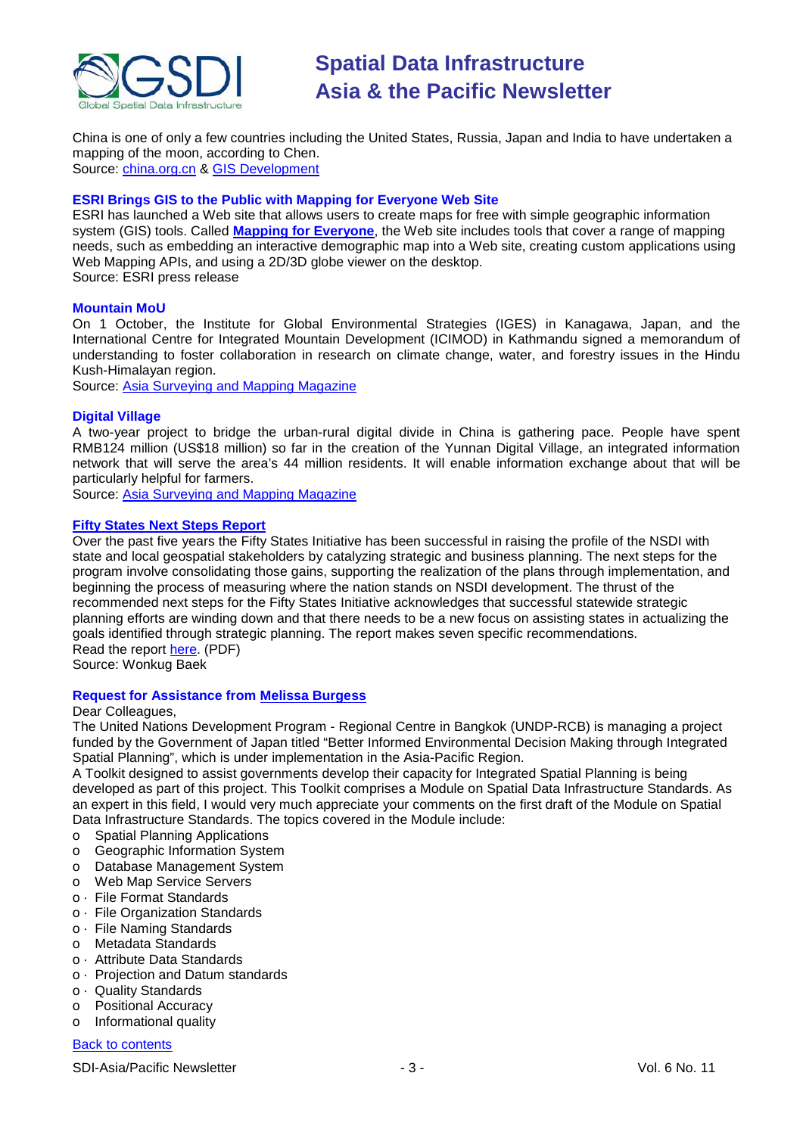

China is one of only a few countries including the United States, Russia, Japan and India to have undertaken a mapping of the moon, according to Chen. Source: [china.org.cn](http://www.china.org.cn/) & [GIS Development](http://www.gisdevelopment.net/news/viewn.asp?id=GIS:N_drxhnoycfp&Ezine=oct0509§ion=News)

### **ESRI Brings GIS to the Public with Mapping for Everyone Web Site**

ESRI has launched a Web site that allows users to create maps for free with simple geographic information system (GIS) tools. Called **[Mapping for Everyone](http://www.esri.com/software/mapping_for_everyone/index.html)**, the Web site includes tools that cover a range of mapping needs, such as embedding an interactive demographic map into a Web site, creating custom applications using Web Mapping APIs, and using a 2D/3D globe viewer on the desktop. Source: ESRI press release

### **Mountain MoU**

On 1 October, the Institute for Global Environmental Strategies (IGES) in Kanagawa, Japan, and the International Centre for Integrated Mountain Development (ICIMOD) in Kathmandu signed a memorandum of understanding to foster collaboration in research on climate change, water, and forestry issues in the Hindu Kush-Himalayan region.

Source: [Asia Surveying and Mapping Magazine](http://www.asmmag.com/news/mountain-mou)

### **Digital Village**

A two-year project to bridge the urban-rural digital divide in China is gathering pace. People have spent RMB124 million (US\$18 million) so far in the creation of the Yunnan Digital Village, an integrated information network that will serve the area's 44 million residents. It will enable information exchange about that will be particularly helpful for farmers.

Source: [Asia Surveying and Mapping Magazine](http://www.asmmag.com/news/digital-village)

### **[Fifty States Next Steps Report](http://www.fgdc.gov/fgdc-news/fifty-states-next-steps-report)**

Over the past five years the Fifty States Initiative has been successful in raising the profile of the NSDI with state and local geospatial stakeholders by catalyzing strategic and business planning. The next steps for the program involve consolidating those gains, supporting the realization of the plans through implementation, and beginning the process of measuring where the nation stands on NSDI development. The thrust of the recommended next steps for the Fifty States Initiative acknowledges that successful statewide strategic planning efforts are winding down and that there needs to be a new focus on assisting states in actualizing the goals identified through strategic planning. The report makes seven specific recommendations. Read the report [here.](http://www.fgdc.gov/policyandplanning/Next_Steps_Report.pdf) (PDF)

Source: Wonkug Baek

### **Request for Assistance from [Melissa Burgess](mailto:melissa.burgess@undp.org)**

#### Dear Colleagues,

The United Nations Development Program - Regional Centre in Bangkok (UNDP-RCB) is managing a project funded by the Government of Japan titled "Better Informed Environmental Decision Making through Integrated Spatial Planning", which is under implementation in the Asia-Pacific Region.

A Toolkit designed to assist governments develop their capacity for Integrated Spatial Planning is being developed as part of this project. This Toolkit comprises a Module on Spatial Data Infrastructure Standards. As an expert in this field, I would very much appreciate your comments on the first draft of the Module on Spatial Data Infrastructure Standards. The topics covered in the Module include:

- o Spatial Planning Applications
- o Geographic Information System
- o Database Management System
- o Web Map Service Servers
- o · File Format Standards
- o · File Organization Standards
- o · File Naming Standards
- o Metadata Standards
- o · Attribute Data Standards
- o · Projection and Datum standards
- o · Quality Standards
- o Positional Accuracy
- o Informational quality

### [Back to contents](#page-0-0)

SDI-Asia/Pacific Newsletter  $\overline{\hspace{1cm}}$  - 3 -  $\overline{\hspace{1cm}}$  -  $\overline{\hspace{1cm}}$  -  $\overline{\hspace{1cm}}$  Vol. 6 No. 11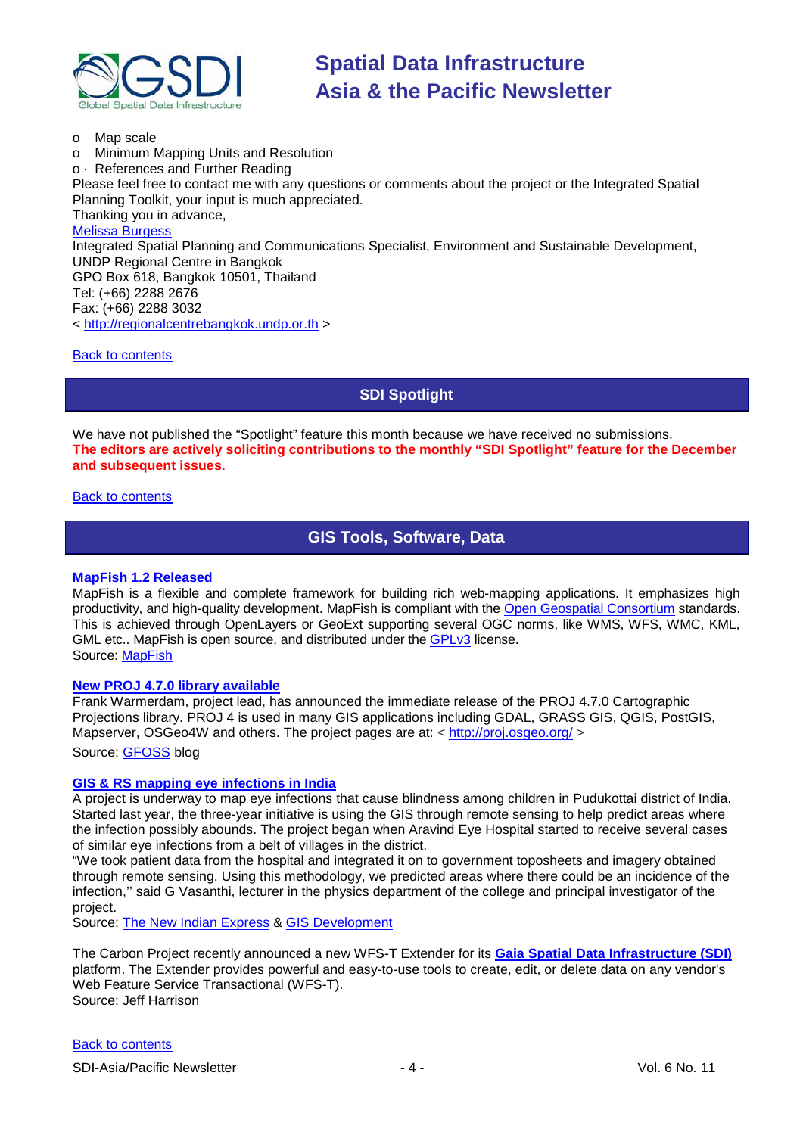

o Map scale o Minimum Mapping Units and Resolution o · References and Further Reading Please feel free to contact me with any questions or comments about the project or the Integrated Spatial Planning Toolkit, your input is much appreciated. Thanking you in advance, [Melissa Burgess](mailto:melissa.burgess@undp.org) Integrated Spatial Planning and Communications Specialist, Environment and Sustainable Development, UNDP Regional Centre in Bangkok GPO Box 618, Bangkok 10501, Thailand Tel: (+66) 2288 2676 Fax: (+66) 2288 3032 < [http://regionalcentrebangkok.undp.or.th](http://regionalcentrebangkok.undp.or.th/) >

<span id="page-3-0"></span>[Back to contents](#page-0-0)

**SDI Spotlight** 

We have not published the "Spotlight" feature this month because we have received no submissions. **The editors are actively soliciting contributions to the monthly "SDI Spotlight" feature for the December and subsequent issues.**

<span id="page-3-1"></span>[Back to contents](#page-0-0)

**GIS Tools, Software, Data**

### **MapFish 1.2 Released**

MapFish is a flexible and complete framework for building rich web-mapping applications. It emphasizes high productivity, and high-quality development. MapFish is compliant with the [Open Geospatial Consortium](http://www.opengeospatial.org/) standards. This is achieved through OpenLayers or GeoExt supporting several OGC norms, like WMS, WFS, WMC, KML, GML etc.. MapFish is open source, and distributed under the [GPLv3](http://www.gnu.org/licenses/gpl-3.0.html) license. Source: [MapFish](http://www.mapfish.org/)

### **[New PROJ 4.7.0 library available](http://gfoss.blogspot.com/2009/09/new-proj-470-library-available.html)**

Frank Warmerdam, project lead, has announced the immediate release of the PROJ 4.7.0 Cartographic Projections library. PROJ 4 is used in many GIS applications including GDAL, GRASS GIS, QGIS, PostGIS, Mapserver, OSGeo4W and others. The project pages are at: <<http://proj.osgeo.org/> > Source: [GFOSS](http://gfoss.blogspot.com/) blog

### **[GIS & RS mapping eye infections in India](http://www.expressbuzz.com/edition/story.aspx?Title=Remote+sensing+and+GIS+mapping+eye+infections&artid=6CwF6RHYmUU=&SectionID=vBlkz7JCFvA=&MainSectionID=fyV9T2jIa4A=&SectionName=EL7znOtxBM3qzgMyXZKtxw==&SEO=)**

A project is underway to map eye infections that cause blindness among children in Pudukottai district of India. Started last year, the three-year initiative is using the GIS through remote sensing to help predict areas where the infection possibly abounds. The project began when Aravind Eye Hospital started to receive several cases of similar eye infections from a belt of villages in the district.

"We took patient data from the hospital and integrated it on to government toposheets and imagery obtained through remote sensing. Using this methodology, we predicted areas where there could be an incidence of the infection,'' said G Vasanthi, lecturer in the physics department of the college and principal investigator of the project.

Source: [The New Indian Express](http://www.expressbuzz.com/edition/default.aspx) & [GIS Development](http://www.gisdevelopment.net/news/viewn.asp?id=GIS:N_fsvrxbehac&Ezine=oct0509§ion=News)

The Carbon Project recently announced a new WFS-T Extender for its **[Gaia Spatial Data Infrastructure \(SDI\)](http://www.thecarbonproject.com/Products/gaia_wfst.php)** platform. The Extender provides powerful and easy-to-use tools to create, edit, or delete data on any vendor's Web Feature Service Transactional (WFS-T). Source: Jeff Harrison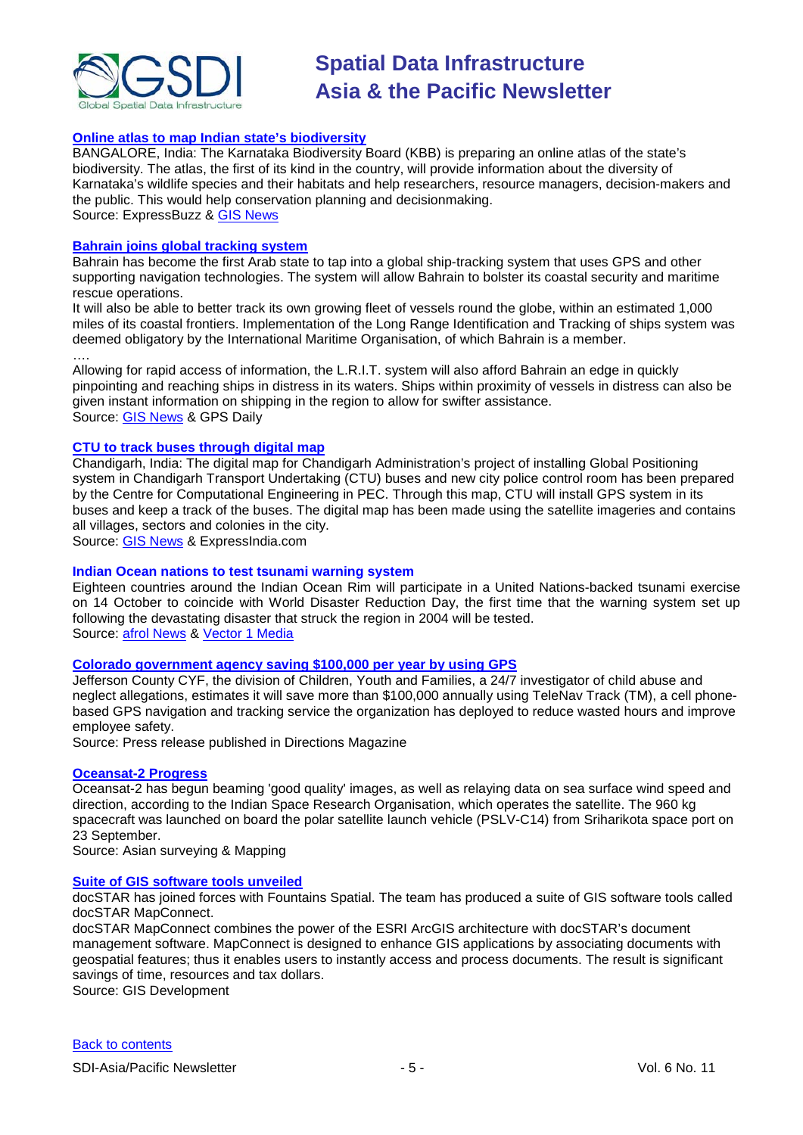

### **[Online atlas to map Indian state's biodiversity](http://www.expressbuzz.com/edition/story.aspx?Title=Online+atlas+to+map+state%E2%80%99s+biodiversity&artid=GDwiwiTF3B4=&SectionID=Qz/kHVp9tEs=&MainSectionID=wIcBMLGbUJI=&SectionName=UOaHCPTTmuP3XGzZRCAUTQ==&SEO=)**

BANGALORE, India: The Karnataka Biodiversity Board (KBB) is preparing an online atlas of the state's biodiversity. The atlas, the first of its kind in the country, will provide information about the diversity of Karnataka's wildlife species and their habitats and help researchers, resource managers, decision-makers and the public. This would help conservation planning and decisionmaking. Source: ExpressBuzz & [GIS News](http://www.gisdevelopment.net/news/viewn.asp?id=GIS:N_kgyqwebvnt&Ezine=oct1209§ion=News)

#### **[Bahrain joins global tracking system](http://www.gpsdaily.com/reports/Bahrain_joins_global_tracking_system_999.html)**

Bahrain has become the first Arab state to tap into a global ship-tracking system that uses GPS and other supporting navigation technologies. The system will allow Bahrain to bolster its coastal security and maritime rescue operations.

It will also be able to better track its own growing fleet of vessels round the globe, within an estimated 1,000 miles of its coastal frontiers. Implementation of the Long Range Identification and Tracking of ships system was deemed obligatory by the International Maritime Organisation, of which Bahrain is a member.

…. Allowing for rapid access of information, the L.R.I.T. system will also afford Bahrain an edge in quickly pinpointing and reaching ships in distress in its waters. Ships within proximity of vessels in distress can also be given instant information on shipping in the region to allow for swifter assistance. Source: [GIS News](http://www.gisdevelopment.net/news/viewn.asp?id=GIS:N_kyavxomszj&Ezine=oct1209§ion=News) & GPS Daily

### **[CTU to track buses through digital map](http://www.expressindia.com/latest-news/ctu-to-track-buses-through-digital-map/521808/)**

Chandigarh, India: The digital map for Chandigarh Administration's project of installing Global Positioning system in Chandigarh Transport Undertaking (CTU) buses and new city police control room has been prepared by the Centre for Computational Engineering in PEC. Through this map, CTU will install GPS system in its buses and keep a track of the buses. The digital map has been made using the satellite imageries and contains all villages, sectors and colonies in the city.

Source: [GIS News](http://www.gisdevelopment.net/news/viewn.asp?id=GIS:N_xlfikvtygc&Ezine=oct1209§ion=News) & ExpressIndia.com

### **Indian Ocean nations to test tsunami warning system**

Eighteen countries around the Indian Ocean Rim will participate in a United Nations-backed tsunami exercise on 14 October to coincide with World Disaster Reduction Day, the first time that the warning system set up following the devastating disaster that struck the region in 2004 will be tested. Source: [afrol News](http://www.afrol.com/articles/34343) & [Vector 1 Media](http://vector1media.com/news/headlines/9431-indian-ocean-nations-to-test-tsunami-warning-system)

### **[Colorado government agency saving \\$100,000 per year by using GPS](http://www.directionsmag.com/press.releases/?duty=Show&id=38584)**

Jefferson County CYF, the division of Children, Youth and Families, a 24/7 investigator of child abuse and neglect allegations, estimates it will save more than \$100,000 annually using TeleNav Track (TM), a cell phonebased GPS navigation and tracking service the organization has deployed to reduce wasted hours and improve employee safety.

Source: Press release published in Directions Magazine

#### **[Oceansat-2 Progress](http://www.asmmag.com/news/oceansat-2-progress)**

Oceansat-2 has begun beaming 'good quality' images, as well as relaying data on sea surface wind speed and direction, according to the Indian Space Research Organisation, which operates the satellite. The 960 kg spacecraft was launched on board the polar satellite launch vehicle (PSLV-C14) from Sriharikota space port on 23 September.

Source: Asian surveying & Mapping

#### **[Suite of GIS software tools unveiled](http://www.gisdevelopment.net/news/viewn.asp?id=GIS:N_xgmfaktrlq)**

docSTAR has joined forces with Fountains Spatial. The team has produced a suite of GIS software tools called docSTAR MapConnect.

docSTAR MapConnect combines the power of the ESRI ArcGIS architecture with docSTAR's document management software. MapConnect is designed to enhance GIS applications by associating documents with geospatial features; thus it enables users to instantly access and process documents. The result is significant savings of time, resources and tax dollars.

Source: GIS Development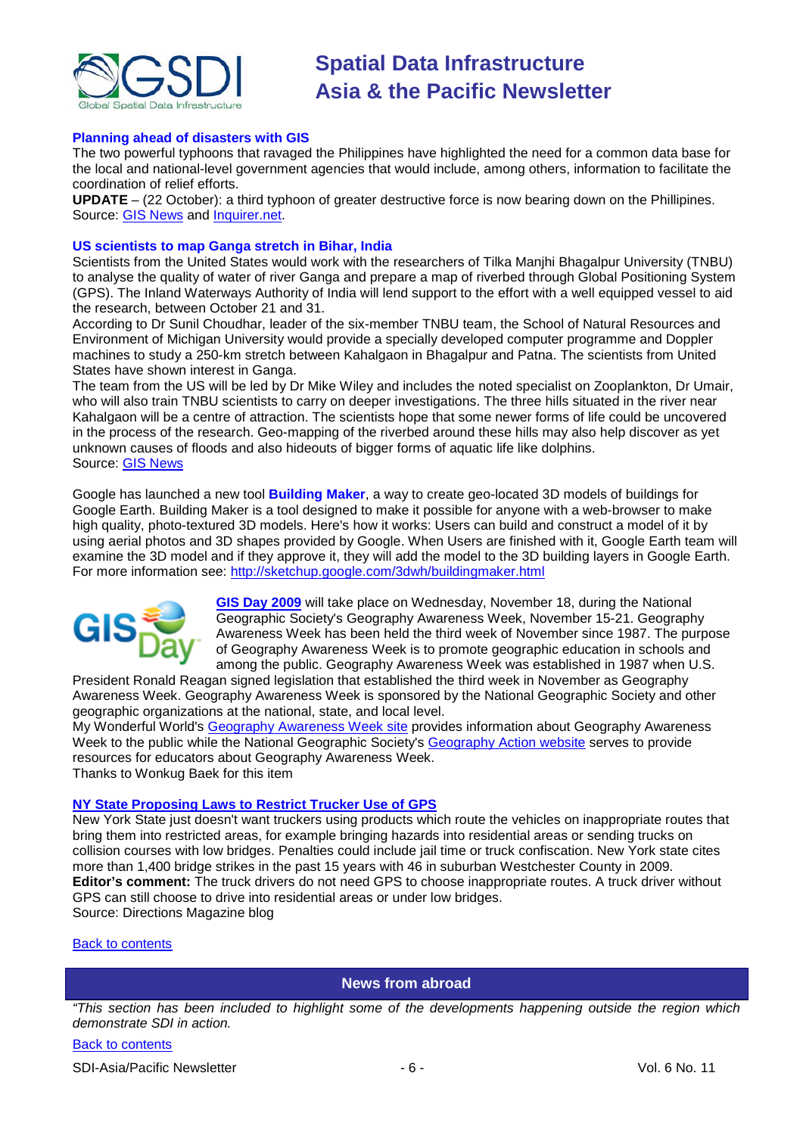

### **Planning ahead of disasters with GIS**

The two powerful typhoons that ravaged the Philippines have highlighted the need for a common data base for the local and national-level government agencies that would include, among others, information to facilitate the coordination of relief efforts.

**UPDATE** – (22 October): a third typhoon of greater destructive force is now bearing down on the Phillipines. Source: [GIS News](http://www.gisdevelopment.net/news/viewn.asp?id=GIS:N_htfrgoaine) and [Inquirer.net.](http://newsinfo.inquirer.net/breakingnews/nation/view/20091012-229676/Planning-ahead-of-disasters-with-GIS)

### **US scientists to map Ganga stretch in Bihar, India**

Scientists from the United States would work with the researchers of Tilka Manjhi Bhagalpur University (TNBU) to analyse the quality of water of river Ganga and prepare a map of riverbed through Global Positioning System (GPS). The Inland Waterways Authority of India will lend support to the effort with a well equipped vessel to aid the research, between October 21 and 31.

According to Dr Sunil Choudhar, leader of the six-member TNBU team, the School of Natural Resources and Environment of Michigan University would provide a specially developed computer programme and Doppler machines to study a 250-km stretch between Kahalgaon in Bhagalpur and Patna. The scientists from United States have shown interest in Ganga.

The team from the US will be led by Dr Mike Wiley and includes the noted specialist on Zooplankton, Dr Umair, who will also train TNBU scientists to carry on deeper investigations. The three hills situated in the river near Kahalgaon will be a centre of attraction. The scientists hope that some newer forms of life could be uncovered in the process of the research. Geo-mapping of the riverbed around these hills may also help discover as yet unknown causes of floods and also hideouts of bigger forms of aquatic life like dolphins. Source: [GIS News](http://www.gisdevelopment.net/news/viewn.asp?id=GIS:N_yiobazgxju&Ezine=oct1909§ion=News)

Google has launched a new tool **Building Maker**, a way to create geo-located 3D models of buildings for Google Earth. Building Maker is a tool designed to make it possible for anyone with a web-browser to make high quality, photo-textured 3D models. Here's how it works: Users can build and construct a model of it by using aerial photos and 3D shapes provided by Google. When Users are finished with it, Google Earth team will examine the 3D model and if they approve it, they will add the model to the 3D building layers in Google Earth. For more information see:<http://sketchup.google.com/3dwh/buildingmaker.html>



**[GIS Day 2009](http://www.gisday.com/)** will take place on Wednesday, November 18, during the National Geographic Society's Geography Awareness Week, November 15-21. Geography Awareness Week has been held the third week of November since 1987. The purpose of Geography Awareness Week is to promote geographic education in schools and among the public. Geography Awareness Week was established in 1987 when U.S.

President Ronald Reagan signed legislation that established the third week in November as Geography Awareness Week. Geography Awareness Week is sponsored by the National Geographic Society and other geographic organizations at the national, state, and local level.

My Wonderful World's [Geography Awareness Week site](http://www.mywonderfulworld.org/gaw.html) provides information about Geography Awareness Week to the public while the National Geographic Society's [Geography Action website](http://www.nationalgeographic.com/geography-action/index.html) serves to provide resources for educators about Geography Awareness Week. Thanks to Wonkug Baek for this item

### **[NY State Proposing Laws to Restrict Trucker Use of GPS](http://apb.directionsmag.com/archives/6634-NY-State-Proposing-Laws-to-Restrict-Trucker-Use-of-GPS.html)**

New York State just doesn't want truckers using products which route the vehicles on inappropriate routes that bring them into restricted areas, for example bringing hazards into residential areas or sending trucks on collision courses with low bridges. Penalties could include jail time or truck confiscation. New York state cites more than 1,400 bridge strikes in the past 15 years with 46 in suburban Westchester County in 2009. **Editor's comment:** The truck drivers do not need GPS to choose inappropriate routes. A truck driver without GPS can still choose to drive into residential areas or under low bridges. Source: Directions Magazine blog

### <span id="page-5-0"></span>[Back to contents](#page-0-0)

### **News from abroad**

*"This section has been included to highlight some of the developments happening outside the region which demonstrate SDI in action.*

### [Back to contents](#page-0-0)

SDI-Asia/Pacific Newsletter  $\overline{6}$  - 6 -  $\overline{8}$  -  $\overline{9}$  -  $\overline{9}$  -  $\overline{9}$  -  $\overline{9}$  Vol. 6 No. 11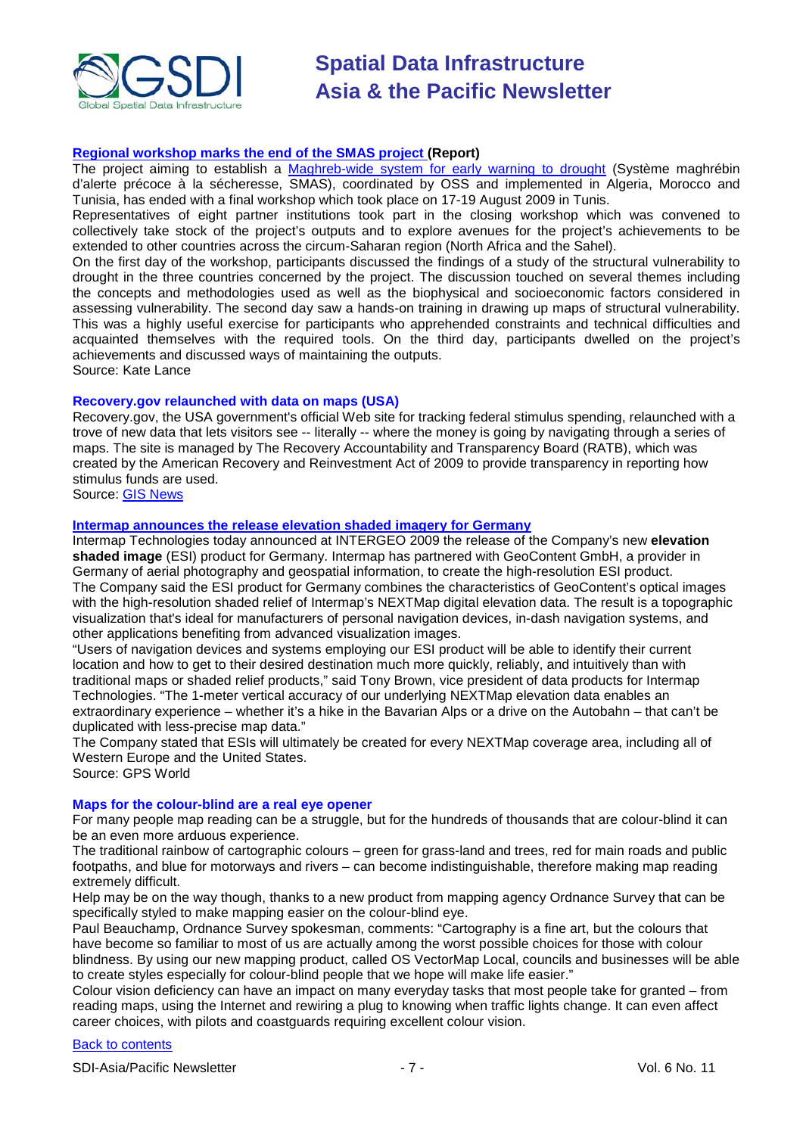

### **[Regional workshop marks the end of the SMAS project \(](http://www.oss-online.org/index.php?option=com_content&task=view&id=910&Itemid=643)Report)**

The project aiming to establish a [Maghreb-wide system for early warning to drought](http://www.oss-online.org/index.php?option=com_content&task=view&id=233&Itemid=521) (Système maghrébin d'alerte précoce à la sécheresse, SMAS), coordinated by OSS and implemented in Algeria, Morocco and Tunisia, has ended with a final workshop which took place on 17-19 August 2009 in Tunis.

Representatives of eight partner institutions took part in the closing workshop which was convened to collectively take stock of the project's outputs and to explore avenues for the project's achievements to be extended to other countries across the circum-Saharan region (North Africa and the Sahel).

On the first day of the workshop, participants discussed the findings of a study of the structural vulnerability to drought in the three countries concerned by the project. The discussion touched on several themes including the concepts and methodologies used as well as the biophysical and socioeconomic factors considered in assessing vulnerability. The second day saw a hands-on training in drawing up maps of structural vulnerability. This was a highly useful exercise for participants who apprehended constraints and technical difficulties and acquainted themselves with the required tools. On the third day, participants dwelled on the project's achievements and discussed ways of maintaining the outputs. Source: Kate Lance

# **Recovery.gov relaunched with data on maps (USA)**

Recovery.gov, the USA government's official Web site for tracking federal stimulus spending, relaunched with a trove of new data that lets visitors see -- literally -- where the money is going by navigating through a series of maps. The site is managed by The Recovery Accountability and Transparency Board (RATB), which was created by the American Recovery and Reinvestment Act of 2009 to provide transparency in reporting how stimulus funds are used.

Source: [GIS News](http://www.gisdevelopment.net/news/viewn.asp?id=GIS:N_apjudtkznl&Ezine=oct0509§ion=News)

### **[Intermap announces the release elevation shaded imagery for Germany](http://www.gpsworld.com/gis/news/intermap-announces-release-elevation-shaded-imagery-germany-8942)**

Intermap Technologies today announced at INTERGEO 2009 the release of the Company's new **elevation shaded image** (ESI) product for Germany. Intermap has partnered with GeoContent GmbH, a provider in Germany of aerial photography and geospatial information, to create the high-resolution ESI product. The Company said the ESI product for Germany combines the characteristics of GeoContent's optical images with the high-resolution shaded relief of Intermap's NEXTMap digital elevation data. The result is a topographic visualization that's ideal for manufacturers of personal navigation devices, in-dash navigation systems, and other applications benefiting from advanced visualization images.

"Users of navigation devices and systems employing our ESI product will be able to identify their current location and how to get to their desired destination much more quickly, reliably, and intuitively than with traditional maps or shaded relief products," said Tony Brown, vice president of data products for Intermap Technologies. "The 1-meter vertical accuracy of our underlying NEXTMap elevation data enables an extraordinary experience – whether it's a hike in the Bavarian Alps or a drive on the Autobahn – that can't be duplicated with less-precise map data."

The Company stated that ESIs will ultimately be created for every NEXTMap coverage area, including all of Western Europe and the United States.

Source: GPS World

### **Maps for the colour-blind are a real eye opener**

For many people map reading can be a struggle, but for the hundreds of thousands that are colour-blind it can be an even more arduous experience.

The traditional rainbow of cartographic colours – green for grass-land and trees, red for main roads and public footpaths, and blue for motorways and rivers – can become indistinguishable, therefore making map reading extremely difficult.

Help may be on the way though, thanks to a new product from mapping agency Ordnance Survey that can be specifically styled to make mapping easier on the colour-blind eye.

Paul Beauchamp, Ordnance Survey spokesman, comments: "Cartography is a fine art, but the colours that have become so familiar to most of us are actually among the worst possible choices for those with colour blindness. By using our new mapping product, called OS VectorMap Local, councils and businesses will be able to create styles especially for colour-blind people that we hope will make life easier."

Colour vision deficiency can have an impact on many everyday tasks that most people take for granted – from reading maps, using the Internet and rewiring a plug to knowing when traffic lights change. It can even affect career choices, with pilots and coastguards requiring excellent colour vision.

### [Back to contents](#page-0-0)

SDI-Asia/Pacific Newsletter  $\overline{7}$  - 7 -  $\overline{7}$  -  $\overline{7}$  -  $\overline{9}$  Vol. 6 No. 11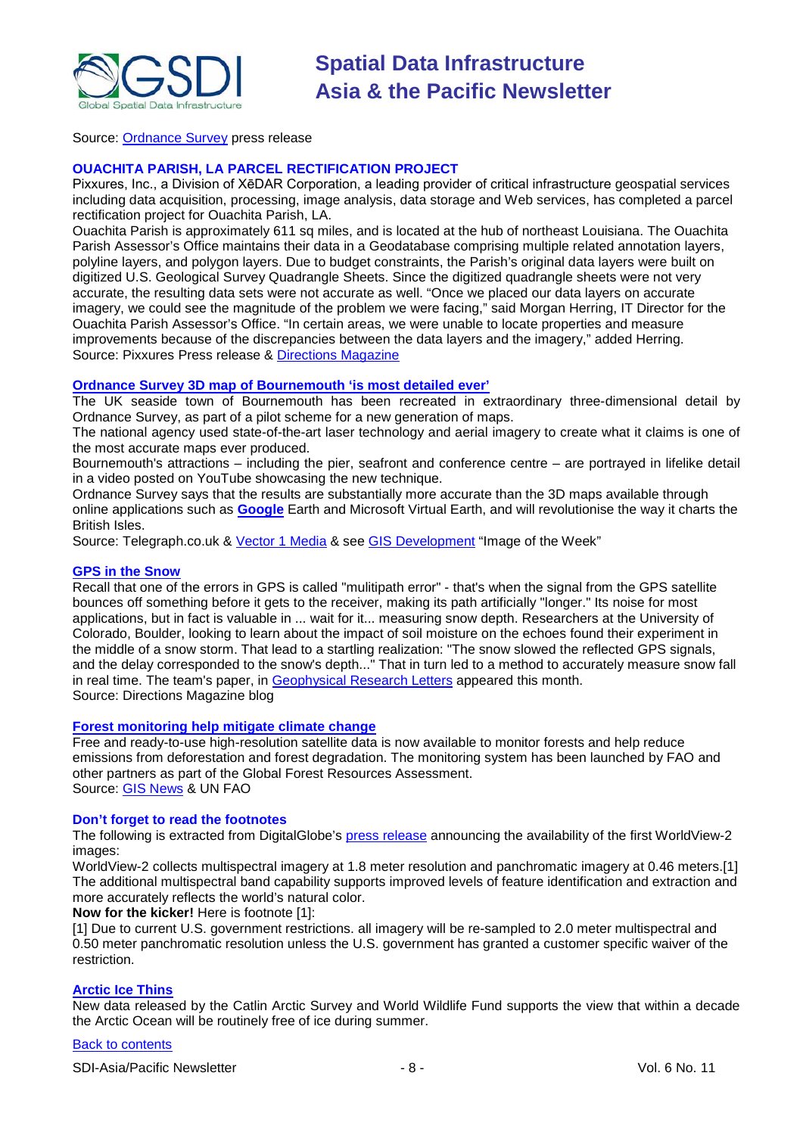

Source: [Ordnance Survey](http://www.ordnancesurvey.co.uk/oswebsite/) press release

### **OUACHITA PARISH, LA PARCEL RECTIFICATION PROJECT**

Pixxures, Inc., a Division of XēDAR Corporation, a leading provider of critical infrastructure geospatial services including data acquisition, processing, image analysis, data storage and Web services, has completed a parcel rectification project for Ouachita Parish, LA.

Ouachita Parish is approximately 611 sq miles, and is located at the hub of northeast Louisiana. The Ouachita Parish Assessor's Office maintains their data in a Geodatabase comprising multiple related annotation layers, polyline layers, and polygon layers. Due to budget constraints, the Parish's original data layers were built on digitized U.S. Geological Survey Quadrangle Sheets. Since the digitized quadrangle sheets were not very accurate, the resulting data sets were not accurate as well. "Once we placed our data layers on accurate imagery, we could see the magnitude of the problem we were facing," said Morgan Herring, IT Director for the Ouachita Parish Assessor's Office. "In certain areas, we were unable to locate properties and measure improvements because of the discrepancies between the data layers and the imagery," added Herring. Source: Pixxures Press release & [Directions Magazine](http://www.directionsmag.com/press.releases/?duty=Show&id=38398)

### **[Ordnance Survey 3D map of Bournemouth 'is most detailed ever'](http://www.telegraph.co.uk/news/uknews/6308577/Ordnance-Survey-3D-map-of-Bournemouth-is-most-detailed-ever.html)**

The UK seaside town of Bournemouth has been recreated in extraordinary three-dimensional detail by Ordnance Survey, as part of a pilot scheme for a new generation of maps.

The national agency used state-of-the-art laser technology and aerial imagery to create what it claims is one of the most accurate maps ever produced.

Bournemouth's attractions – including the pier, seafront and conference centre – are portrayed in lifelike detail in a video posted on YouTube showcasing the new technique.

Ordnance Survey says that the results are substantially more accurate than the 3D maps available through online applications such as **[Google](http://www.telegraph.co.uk/technology/google/)** Earth and Microsoft Virtual Earth, and will revolutionise the way it charts the British Isles.

Source: Telegraph.co.uk & [Vector 1 Media](http://vector1media.com/news/headlines/9453-ordnance-survey-3d-map-of-bournemouth-is-most-detailed-ever) & see [GIS Development](http://www.gisdevelopment.net/ezine/weekly/imgoftheweekoct1909.htm) "Image of the Week"

### **[GPS in the Snow](http://apb.directionsmag.com/archives/6555-GPS-in-the-Snow.html)**

Recall that one of the errors in GPS is called "mulitipath error" - that's when the signal from the GPS satellite bounces off something before it gets to the receiver, making its path artificially "longer." Its noise for most applications, but in fact is valuable in ... wait for it... measuring snow depth. Researchers at the University of Colorado, Boulder, looking to learn about the impact of soil moisture on the echoes found their experiment in the middle of a snow storm. That lead to a startling realization: "The snow slowed the reflected GPS signals, and the delay corresponded to the snow's depth..." That in turn led to a method to accurately measure snow fall in real time. The team's paper, in [Geophysical Research Letters](http://www.agu.org/pubs/crossref/2009/2009GL039430.shtml) appeared this month. Source: Directions Magazine blog

### **[Forest monitoring help mitigate climate change](http://www.fao.org/news/story/en/item/36408/icode/)**

Free and ready-to-use high-resolution satellite data is now available to monitor forests and help reduce emissions from deforestation and forest degradation. The monitoring system has been launched by FAO and other partners as part of the Global Forest Resources Assessment. Source: [GIS News](http://www.gisdevelopment.net/news/viewn.asp?id=GIS:N_mpjxbyegsu) & UN FAO

### **Don't forget to read the footnotes**

The following is extracted from DigitalGlobe's [press release](http://media.digitalglobe.com/index.php?s=43&item=184) announcing the availability of the first WorldView-2 images:

WorldView-2 collects multispectral imagery at 1.8 meter resolution and panchromatic imagery at 0.46 meters.[1] The additional multispectral band capability supports improved levels of feature identification and extraction and more accurately reflects the world's natural color.

**Now for the kicker!** Here is footnote [1]:

[1] Due to current U.S. government restrictions. all imagery will be re-sampled to 2.0 meter multispectral and 0.50 meter panchromatic resolution unless the U.S. government has granted a customer specific waiver of the restriction.

### **[Arctic Ice Thins](http://www.asmmag.com/news/arctic-ice-thins)**

New data released by the Catlin Arctic Survey and World Wildlife Fund supports the view that within a decade the Arctic Ocean will be routinely free of ice during summer.

### [Back to contents](#page-0-0)

SDI-Asia/Pacific Newsletter  $\overline{\hspace{1cm}}$  - 8 -  $\overline{\hspace{1cm}}$  - 8 - Vol. 6 No. 11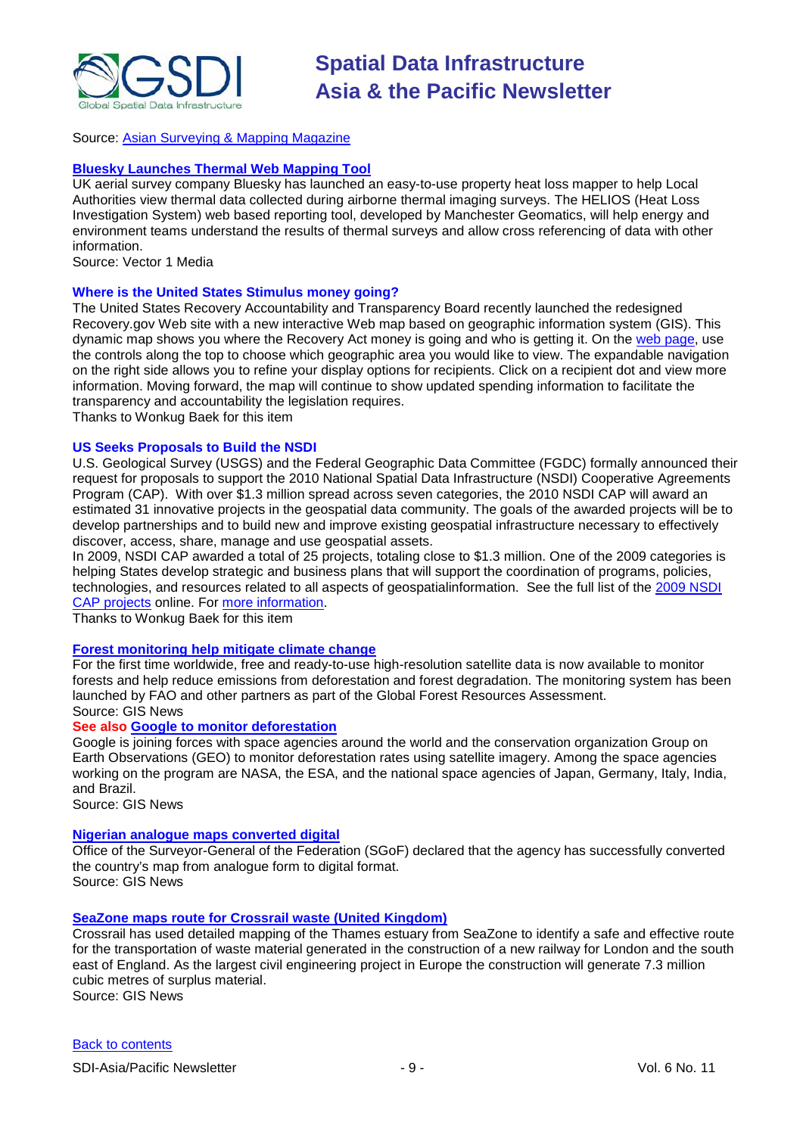

### Source: [Asian Surveying & Mapping Magazine](http://www.asmmag.com/news/arctic-ice-thins)

### **[Bluesky Launches Thermal Web Mapping Tool](http://www.vector1media.com/news/top-stories/53-corporate-news/9639-bluesky-launches-thermal-web-mapping-tool)**

UK aerial survey company Bluesky has launched an easy-to-use property heat loss mapper to help Local Authorities view thermal data collected during airborne thermal imaging surveys. The HELIOS (Heat Loss Investigation System) web based reporting tool, developed by Manchester Geomatics, will help energy and environment teams understand the results of thermal surveys and allow cross referencing of data with other information.

Source: Vector 1 Media

### **Where is the United States Stimulus money going?**

The United States Recovery Accountability and Transparency Board recently launched the redesigned Recovery.gov Web site with a new interactive Web map based on geographic information system (GIS). This dynamic map shows you where the Recovery Act money is going and who is getting it. On the [web page,](http://www.recovery.gov/Transparency/Pages/home.aspx) use the controls along the top to choose which geographic area you would like to view. The expandable navigation on the right side allows you to refine your display options for recipients. Click on a recipient dot and view more information. Moving forward, the map will continue to show updated spending information to facilitate the transparency and accountability the legislation requires.

Thanks to Wonkug Baek for this item

### **US Seeks Proposals to Build the NSDI**

U.S. Geological Survey (USGS) and the Federal Geographic Data Committee (FGDC) formally announced their request for proposals to support the 2010 National Spatial Data Infrastructure (NSDI) Cooperative Agreements Program (CAP). With over \$1.3 million spread across seven categories, the 2010 NSDI CAP will award an estimated 31 innovative projects in the geospatial data community. The goals of the awarded projects will be to develop partnerships and to build new and improve existing geospatial infrastructure necessary to effectively discover, access, share, manage and use geospatial assets.

In 2009, NSDI CAP awarded a total of 25 projects, totaling close to \$1.3 million. One of the 2009 categories is helping States develop strategic and business plans that will support the coordination of programs, policies, technologies, and resources related to all aspects of geospatialinformation. See the full list of the [2009 NSDI](http://www.fgdc.gov/grants/2009CAP/2009CAPDescriptions)  [CAP projects](http://www.fgdc.gov/grants/2009CAP/2009CAPDescriptions) online. For [more information.](http://www.usgs.gov/newsroom/article.asp?ID=2331)

Thanks to Wonkug Baek for this item

### **[Forest monitoring help mitigate climate change](http://www.gisdevelopment.net/news/viewn.asp?id=GIS:N_mpjxbyegsu&Ezine=oct2609§ion=News)**

For the first time worldwide, free and ready-to-use high-resolution satellite data is now available to monitor forests and help reduce emissions from deforestation and forest degradation. The monitoring system has been launched by FAO and other partners as part of the Global Forest Resources Assessment. Source: GIS News

### **See also [Google to monitor deforestation](http://www.gisdevelopment.net/news/viewn.asp?id=GIS:N_zxyusdgnlr&Ezine=oct2609§ion=News)**

Google is joining forces with space agencies around the world and the conservation organization Group on Earth Observations (GEO) to monitor deforestation rates using satellite imagery. Among the space agencies working on the program are NASA, the ESA, and the national space agencies of Japan, Germany, Italy, India, and Brazil.

Source: GIS News

### **[Nigerian analogue maps converted digital](http://www.gisdevelopment.net/news/viewn.asp?id=GIS:N_zjfhrpkody)**

Office of the Surveyor-General of the Federation (SGoF) declared that the agency has successfully converted the country's map from analogue form to digital format. Source: GIS News

### **[SeaZone maps route for Crossrail waste \(United Kingdom\)](http://www.gisdevelopment.net/news/viewn.asp?id=GIS:N_takzrngmhj&Ezine=oct2609§ion=News)**

Crossrail has used detailed mapping of the Thames estuary from SeaZone to identify a safe and effective route for the transportation of waste material generated in the construction of a new railway for London and the south east of England. As the largest civil engineering project in Europe the construction will generate 7.3 million cubic metres of surplus material.

Source: GIS News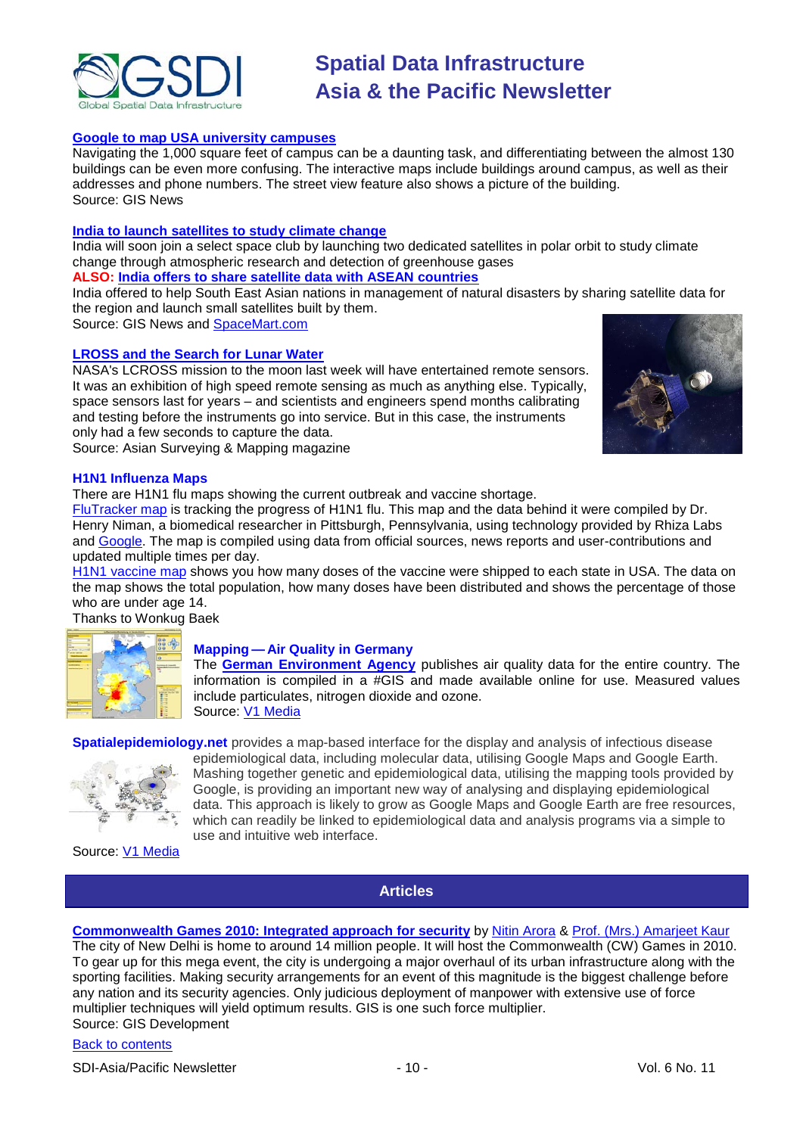

### **[Google to map USA university campuses](http://www.gisdevelopment.net/news/viewn.asp?id=GIS:N_nxystufvbc&Ezine=oct2609§ion=News)**

Navigating the 1,000 square feet of campus can be a daunting task, and differentiating between the almost 130 buildings can be even more confusing. The interactive maps include buildings around campus, as well as their addresses and phone numbers. The street view feature also shows a picture of the building. Source: GIS News

#### **[India to launch satellites to study climate change](http://www.gisdevelopment.net/news/viewn.asp?id=GIS:N_wmgqfhtrux&Ezine=oct2609§ion=News)**

India will soon join a select space club by launching two dedicated satellites in polar orbit to study climate change through atmospheric research and detection of greenhouse gases

### **ALSO: [India offers to share satellite data with ASEAN countries](http://www.gisdevelopment.net/news/viewn.asp?id=GIS:N_blcfzhtoix&Ezine=oct2609§ion=News)**

India offered to help South East Asian nations in management of natural disasters by sharing satellite data for the region and launch small satellites built by them.

Source: GIS News and [SpaceMart.com](http://www.spacemart.com/reports/India_Offers_To_Share_Satellite_Data_With_ASEAN_Countries_999.html)

### **[LROSS and the Search for Lunar Water](http://asmmag.com/features/lross-and-the-search-for-lunar-water)**

NASA's LCROSS mission to the moon last week will have entertained remote sensors. It was an exhibition of high speed remote sensing as much as anything else. Typically, space sensors last for years – and scientists and engineers spend months calibrating and testing before the instruments go into service. But in this case, the instruments only had a few seconds to capture the data. Source: Asian Surveying & Mapping magazine



### **H1N1 Influenza Maps**

There are H1N1 flu maps showing the current outbreak and vaccine shortage.

[FluTracker map](http://flutracker.rhizalabs.com/) is tracking the progress of H1N1 flu. This map and the data behind it were compiled by Dr. Henry Niman, a biomedical researcher in Pittsburgh, Pennsylvania, using technology provided by Rhiza Labs and [Google.](http://maps.google.com/maps/ms?ie=UTF8&hl=en&msa=0&msid=100722445725285272419.00047672c20931d4ce61e&ll=45.274886,-79.189453&spn=40.814769,99.404297&source=embed) The map is compiled using data from official sources, news reports and user-contributions and updated multiple times per day.

[H1N1 vaccine map](http://www.associatedcontent.com/topic/124138/h1n1_virus.html) shows you how many doses of the vaccine were shipped to each state in USA. The data on the map shows the total population, how many doses have been distributed and shows the percentage of those who are under age 14.

Thanks to Wonkug Baek



### **Mapping — Air Quality in Germany**

The **[German Environment Agency](http://www.umweltbundesamt.de/uba-info-presse-e/2009/pe09-069_new_maps_on_air_quality.htm)** publishes air quality data for the entire country. The information is compiled in a #GIS and made available online for use. Measured values include particulates, nitrogen dioxide and ozone. Source: [V1 Media](http://www.vector1media.com/vectorone/?p=3934)

<span id="page-9-0"></span>**Spatialepidemiology.net** provides a map-based interface for the display and analysis of infectious disease



epidemiological data, including molecular data, utilising Google Maps and Google Earth. Mashing together genetic and epidemiological data, utilising the mapping tools provided by Google, is providing an important new way of analysing and displaying epidemiological data. This approach is likely to grow as Google Maps and Google Earth are free resources, which can readily be linked to epidemiological data and analysis programs via a simple to use and intuitive web interface.

Source: [V1 Media](http://www.vector1media.com/resources/newsletter/9304-v1-newsletter-vol-3-issue-39)

### **Articles**

### **[Commonwealth Games 2010: Integrated approach for security](http://www.gisdevelopment.net/magazine/global/2009/September/26.htm)** by [Nitin Arora](mailto:nitinarora0135@yahoo.co.in) & [Prof. \(Mrs.\) Amarjeet Kaur](mailto:amarjeet@ipu.edu) The city of New Delhi is home to around 14 million people. It will host the Commonwealth (CW) Games in 2010. To gear up for this mega event, the city is undergoing a major overhaul of its urban infrastructure along with the sporting facilities. Making security arrangements for an event of this magnitude is the biggest challenge before any nation and its security agencies. Only judicious deployment of manpower with extensive use of force multiplier techniques will yield optimum results. GIS is one such force multiplier. Source: GIS Development

[Back to contents](#page-0-0)

SDI-Asia/Pacific Newsletter  $\sim$  10 - 10 - Vol. 6 No. 11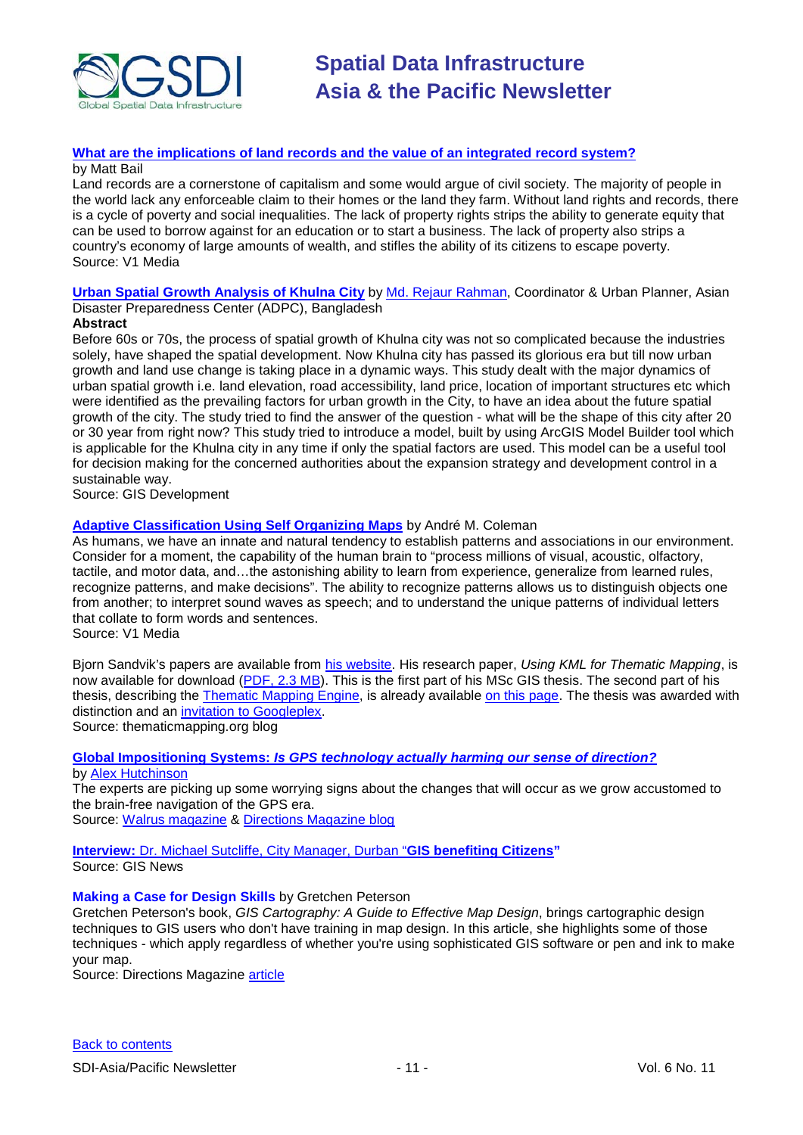

### **[What are the implications of land records and the value of an integrated record system?](http://www.vector1media.com/dialogue/perspectives/9306-what-are-the-implications-of-land-records-and-the-value-of-an-integrated-record-system)** by Matt Bail

Land records are a cornerstone of capitalism and some would argue of civil society. The majority of people in the world lack any enforceable claim to their homes or the land they farm. Without land rights and records, there is a cycle of poverty and social inequalities. The lack of property rights strips the ability to generate equity that can be used to borrow against for an education or to start a business. The lack of property also strips a country's economy of large amounts of wealth, and stifles the ability of its citizens to escape poverty. Source: V1 Media

**[Urban Spatial Growth Analysis of Khulna City](http://www.gisdevelopment.net/application/urban/sprawl/RejaurRahman.htm)** by [Md. Rejaur Rahman,](mailto:reja.83@gmail.com) Coordinator & Urban Planner, Asian Disaster Preparedness Center (ADPC), Bangladesh

### **Abstract**

Before 60s or 70s, the process of spatial growth of Khulna city was not so complicated because the industries solely, have shaped the spatial development. Now Khulna city has passed its glorious era but till now urban growth and land use change is taking place in a dynamic ways. This study dealt with the major dynamics of urban spatial growth i.e. land elevation, road accessibility, land price, location of important structures etc which were identified as the prevailing factors for urban growth in the City, to have an idea about the future spatial growth of the city. The study tried to find the answer of the question - what will be the shape of this city after 20 or 30 year from right now? This study tried to introduce a model, built by using ArcGIS Model Builder tool which is applicable for the Khulna city in any time if only the spatial factors are used. This model can be a useful tool for decision making for the concerned authorities about the expansion strategy and development control in a sustainable way.

Source: GIS Development

### **[Adaptive Classification Using Self Organizing Maps](http://www.vector1media.com/articles/features/8931-adaptive-classification-using-self-organizing-maps)** by André M. Coleman

As humans, we have an innate and natural tendency to establish patterns and associations in our environment. Consider for a moment, the capability of the human brain to "process millions of visual, acoustic, olfactory, tactile, and motor data, and…the astonishing ability to learn from experience, generalize from learned rules, recognize patterns, and make decisions". The ability to recognize patterns allows us to distinguish objects one from another; to interpret sound waves as speech; and to understand the unique patterns of individual letters that collate to form words and sentences.

Source: V1 Media

Bjorn Sandvik's papers are available from [his website.](http://blog.thematicmapping.org/) His research paper, *Using KML for Thematic Mapping*, is now available for download [\(PDF, 2.3 MB\)](http://thematicmapping.org/downloads/Using_KML_for_Thematic_Mapping.pdf). This is the first part of his MSc GIS thesis. The second part of his thesis, describing the [Thematic Mapping Engine,](http://thematicmapping.org/engine/) is already available [on this page.](http://blog.thematicmapping.org/2008/12/thematic-mapping-engine-source-code-and.html) The thesis was awarded with distinction and an [invitation to Googleplex.](http://blog.thematicmapping.org/2008/12/thematic-mapping-at-googleplex.html)

Source: thematicmapping.org blog

### **Global Impositioning Systems:** *[Is GPS technology actually harming our sense of direction?](http://www.walrusmagazine.com/articles/2009.11-health-global-impositioning-systems/)*

### by [Alex Hutchinson](http://www.walrusmagazine.com/author/alex-hutchinson/)

The experts are picking up some worrying signs about the changes that will occur as we grow accustomed to the brain-free navigation of the GPS era.

Source: [Walrus magazine](http://www.walrusmagazine.com/) & [Directions Magazine blog](http://apb.directionsmag.com/archives/6646-Science-Suggests-Using-GPS-Dulls-Brains-Mapping-Tools.html)

**Interview:** [Dr. Michael Sutcliffe, City Manager, Durban "](http://www.gisdevelopment.net/interview/previous/ev0_oct09MichaelSutcliffe.htm)**GIS benefiting Citizens"** Source: GIS News

### **Making a Case for Design Skills** by Gretchen Peterson

Gretchen Peterson's book, *GIS Cartography: A Guide to Effective Map Design*, brings cartographic design techniques to GIS users who don't have training in map design. In this article, she highlights some of those techniques - which apply regardless of whether you're using sophisticated GIS software or pen and ink to make your map.

Source: Directions Magazine [article](http://www.directionsmag.com/article.php?article_id=3308)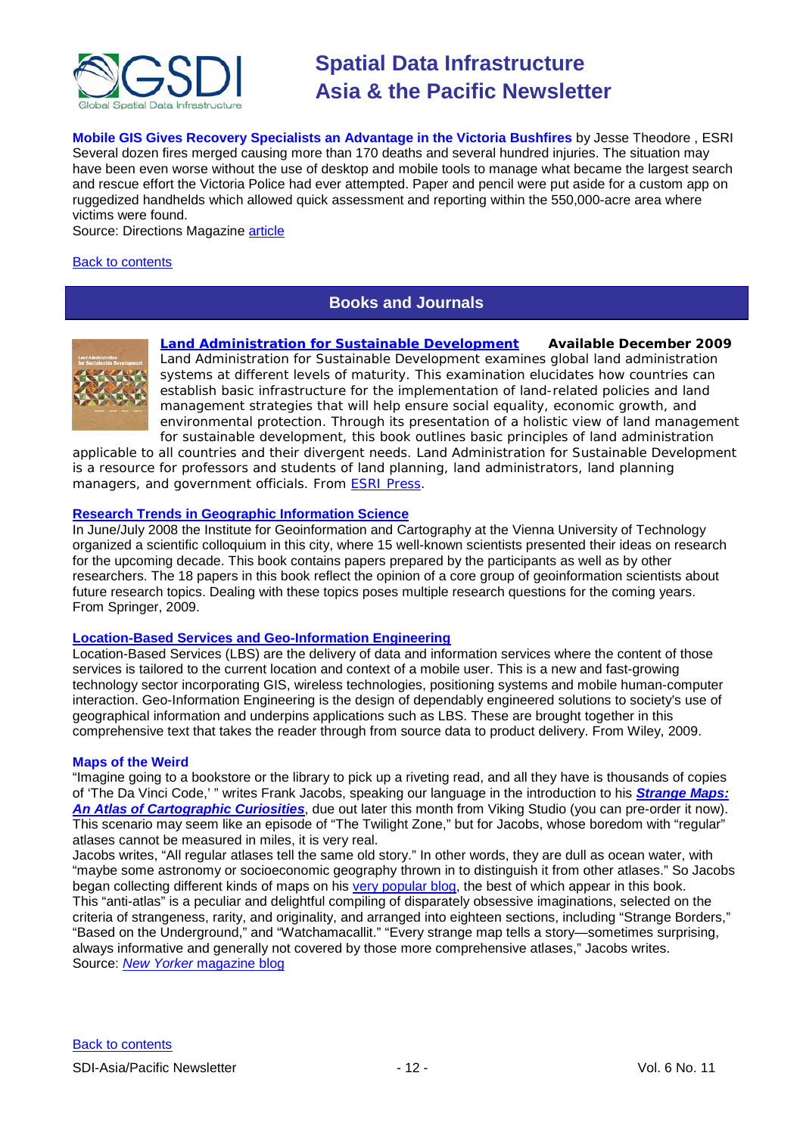

**Mobile GIS Gives Recovery Specialists an Advantage in the Victoria Bushfires** by [Jesse Theodore](http://www.directionsmag.com/author.php?author_id=612) , [ESRI](http://www.directionsmag.com/companies/byID.php?id=2) Several dozen fires merged causing more than 170 deaths and several hundred injuries. The situation may have been even worse without the use of desktop and mobile tools to manage what became the largest search and rescue effort the Victoria Police had ever attempted. Paper and pencil were put aside for a custom app on ruggedized handhelds which allowed quick assessment and reporting within the 550,000-acre area where victims were found.

Source: Directions Magazine [article](http://www.directionsmag.com/article.php?article_id=3312)

### <span id="page-11-0"></span>[Back to contents](#page-0-0)

### **Books and Journals**



*[Land Administration for Sustainable Development](http://esripress.esri.com/display/index.cfm?fuseaction=display&websiteID=165&moduleID=0)* **Available December 2009** *Land Administration for Sustainable Development* examines global land administration systems at different levels of maturity. This examination elucidates how countries can establish basic infrastructure for the implementation of land-related policies and land management strategies that will help ensure social equality, economic growth, and environmental protection. Through its presentation of a holistic view of land management for sustainable development, this book outlines basic principles of land administration

applicable to all countries and their divergent needs. *Land Administration for Sustainable Development* is a resource for professors and students of land planning, land administrators, land planning managers, and government officials. From ESRI [Press.](http://esripress.esri.com/display/index.cfm?fuseaction=esriPressMain&websiteID=0)

### **[Research Trends in Geographic Information Science](http://www.amazon.com/exec/obidos/ASIN/354088243X/directionsm00-20)**

In June/July 2008 the Institute for Geoinformation and Cartography at the Vienna University of Technology organized a scientific colloquium in this city, where 15 well-known scientists presented their ideas on research for the upcoming decade. This book contains papers prepared by the participants as well as by other researchers. The 18 papers in this book reflect the opinion of a core group of geoinformation scientists about future research topics. Dealing with these topics poses multiple research questions for the coming years. From Springer, 2009.

#### **[Location-Based Services and Geo-Information Engineering](http://www.amazon.com/exec/obidos/ASIN/0470857374/directionsm00-20)**

Location-Based Services (LBS) are the delivery of data and information services where the content of those services is tailored to the current location and context of a mobile user. This is a new and fast-growing technology sector incorporating GIS, wireless technologies, positioning systems and mobile human-computer interaction. Geo-Information Engineering is the design of dependably engineered solutions to society's use of geographical information and underpins applications such as LBS. These are brought together in this comprehensive text that takes the reader through from source data to product delivery. From Wiley, 2009.

#### **Maps of the Weird**

"Imagine going to a bookstore or the library to pick up a riveting read, and all they have is thousands of copies of 'The Da Vinci Code,' " writes Frank Jacobs, speaking our language in the introduction to his *[Strange Maps:](http://search.barnesandnoble.com/Strange-Maps/Frank-Jacobs/e/9780142005255/?itm=1)  [An Atlas of Cartographic Curiosities](http://search.barnesandnoble.com/Strange-Maps/Frank-Jacobs/e/9780142005255/?itm=1)*, due out later this month from Viking Studio (you can pre-order it now). This scenario may seem like an episode of "The Twilight Zone," but for Jacobs, whose boredom with "regular" atlases cannot be measured in miles, it is very real.

Jacobs writes, "All regular atlases tell the same old story." In other words, they are dull as ocean water, with "maybe some astronomy or socioeconomic geography thrown in to distinguish it from other atlases." So Jacobs began collecting different kinds of maps on his [very popular blog,](http://strangemaps.wordpress.com/) the best of which appear in this book. This "anti-atlas" is a peculiar and delightful compiling of disparately obsessive imaginations, selected on the criteria of strangeness, rarity, and originality, and arranged into eighteen sections, including "Strange Borders," "Based on the Underground," and "Watchamacallit." "Every strange map tells a story—sometimes surprising, always informative and generally not covered by those more comprehensive atlases," Jacobs writes. Source: *New Yorker* [magazine blog](http://www.newyorker.com/online/blogs/books/2009/10/map-of-the-weird.html)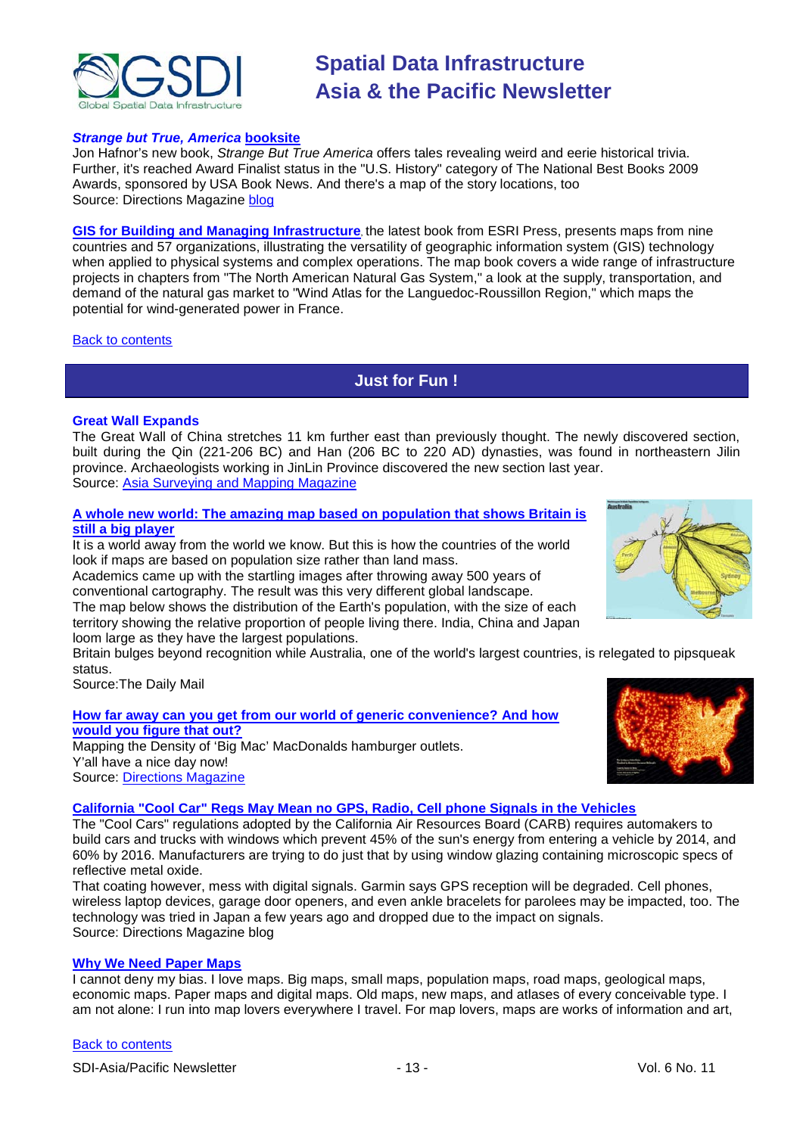

### *Strange but True, America* **[booksite](http://www.strangetrueus.com/strange/home.action)**

Jon Hafnor's new book, *Strange But True America* offers tales revealing weird and eerie historical trivia. Further, it's reached Award Finalist status in the "U.S. History" category of The National Best Books 2009 Awards, sponsored by USA Book News. And there's a [map](http://www.strangetrueus.com/strange/map.action) of the story locations, too Source: Directions Magazine [blog](http://apb.directionsmag.com/archives/6699-Hafnors-Strange-But-True-America-Nominated-for-History-Book-Award.html)

**[GIS for Building and Managing Infrastructure](http://esripress.esri.com/display/index.cfm?fuseaction=display&websiteID=164&moduleID=0)**, the latest book from ESRI Press, presents maps from nine countries and 57 organizations, illustrating the versatility of geographic information system (GIS) technology when applied to physical systems and complex operations. The map book covers a wide range of infrastructure projects in chapters from "The North American Natural Gas System," a look at the supply, transportation, and demand of the natural gas market to "Wind Atlas for the Languedoc-Roussillon Region," which maps the potential for wind-generated power in France.

<span id="page-12-0"></span>[Back to contents](#page-0-0)

# **Just for Fun !**

### **Great Wall Expands**

The Great Wall of China stretches 11 km further east than previously thought. The newly discovered section, built during the Qin (221-206 BC) and Han (206 BC to 220 AD) dynasties, was found in northeastern Jilin province. Archaeologists working in JinLin Province discovered the new section last year. Source: Asia [Surveying and Mapping Magazine](http://www.asmmag.com/news/great-wall-expands)

### **[A whole new world: The amazing map based on population that shows Britain is](http://www.dailymail.co.uk/sciencetech/article-1217571/A-new-world-The-amazing-map-based-population-shows-Britain-big-player.html#ixzz0Tmc0SwOu)  [still a big player](http://www.dailymail.co.uk/sciencetech/article-1217571/A-new-world-The-amazing-map-based-population-shows-Britain-big-player.html#ixzz0Tmc0SwOu)**

It is a world away from the world we know. But this is how the countries of the world look if maps are based on population size rather than land mass.

Academics came up with the startling images after throwing away 500 years of conventional cartography. The result was this very different global landscape.

The map below shows the distribution of the Earth's population, with the size of each territory showing the relative proportion of people living there. India, China and Japan loom large as they have the largest populations.

Britain bulges beyond recognition while Australia, one of the world's largest countries, is relegated to pipsqueak status.

Source:The Daily Mail

**[How far away can you get from our world of generic convenience? And how](http://www.weathersealed.com/2009/09/22/where-the-buffalo-roamed/)  [would you figure that out?](http://www.weathersealed.com/2009/09/22/where-the-buffalo-roamed/)** Mapping the Density of 'Big Mac' MacDonalds hamburger outlets. Y'all have a nice day now! Source: [Directions Magazine](http://www.directionsmedia.net/newsletters.archive/index.php?ID=1507)



### **[California "Cool Car" Regs May Mean no GPS, Radio, Cell phone Signals in the Vehicles](http://apb.directionsmag.com/archives/6622-California-Cool-Car-Regs-May-Mean-no-GPS,-Radio,-Cell-phone-Signals-in-the-Vehicles.html)**

The "Cool Cars" regulations adopted by the California Air Resources Board (CARB) requires automakers to build cars and trucks with windows which prevent 45% of the sun's energy from entering a vehicle by 2014, and 60% by 2016. Manufacturers are trying to do just that by using window glazing containing microscopic specs of reflective metal oxide.

That coating however, mess with digital signals. Garmin says GPS reception will be degraded. Cell phones, wireless laptop devices, garage door openers, and even ankle bracelets for parolees may be impacted, too. The technology was tried in Japan a few years ago and dropped due to the impact on signals. Source: Directions Magazine blog

### **[Why We Need Paper Maps](http://hooversworld.com/archives/3210)**

I cannot deny my bias. I love maps. Big maps, small maps, population maps, road maps, geological maps, economic maps. Paper maps and digital maps. Old maps, new maps, and atlases of every conceivable type. I am not alone: I run into map lovers everywhere I travel. For map lovers, maps are works of information and art,

### [Back to contents](#page-0-0)

SDI-Asia/Pacific Newsletter  $\sim$  13 - 13 - Vol. 6 No. 11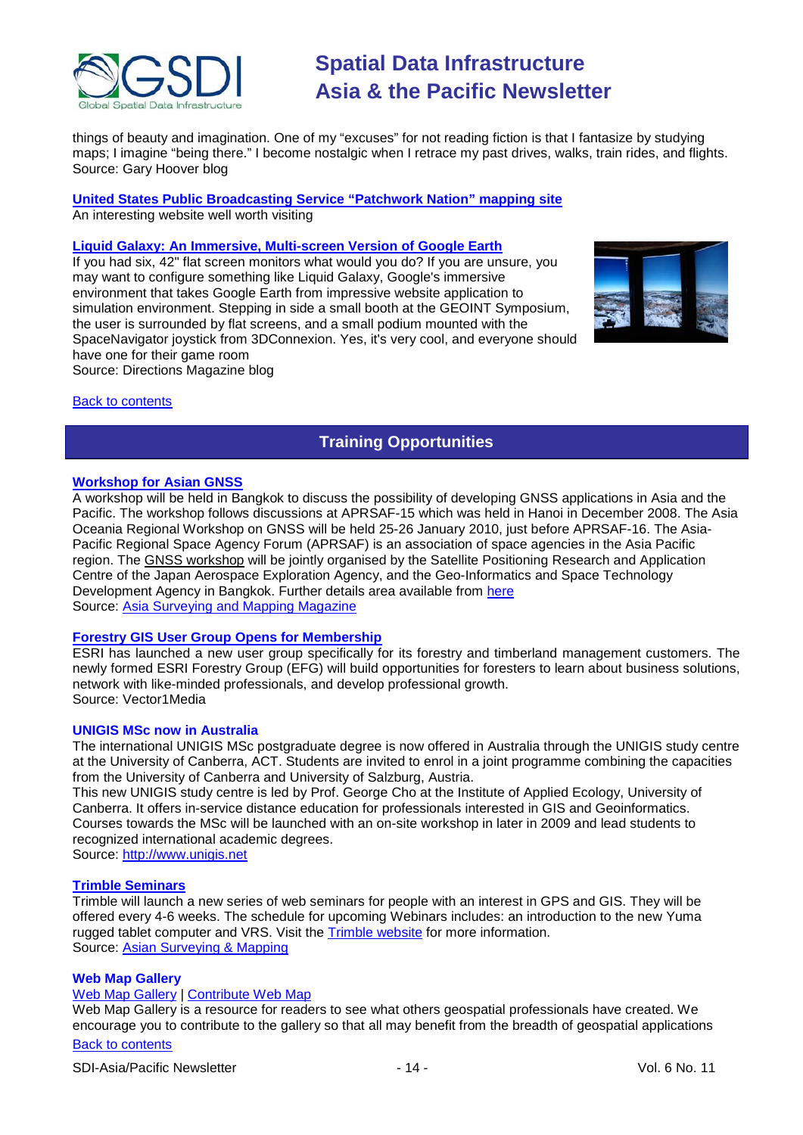

things of beauty and imagination. One of my "excuses" for not reading fiction is that I fantasize by studying maps; I imagine "being there." I become nostalgic when I retrace my past drives, walks, train rides, and flights. Source: Gary Hoover blog

**[United States Public Broadcasting Service "Patchwork Nation" mapping site](http://www.pbs.org/newshour/patchworknation/)**

An interesting website well worth visiting

### **[Liquid Galaxy: An Immersive, Multi-screen Version of Google Earth](http://apb.directionsmag.com/archives/6685-Liquid-Galaxy-An-Immersive,-Multi-screen-Version-of-Google-Earth.html)**

If you had six, 42" flat screen monitors what would you do? If you are unsure, you may want to configure something like Liquid Galaxy, Google's immersive environment that takes Google Earth from impressive website application to simulation environment. Stepping in side a small booth at the GEOINT Symposium, the user is surrounded by flat screens, and a small podium mounted with the SpaceNavigator joystick from 3DConnexion. Yes, it's very cool, and everyone should have one for their game room Source: Directions Magazine blog



### <span id="page-13-0"></span>Back to [contents](#page-0-0)

# **Training Opportunities**

### **[Workshop for Asian GNSS](http://www.asmmag.com/news/workshop-for-asian-gnss)**

A workshop will be held in Bangkok to discuss the possibility of developing GNSS applications in Asia and the Pacific. The workshop follows discussions at APRSAF-15 which was held in Hanoi in December 2008. The Asia Oceania Regional Workshop on GNSS will be held 25-26 January 2010, just before APRSAF-16. The Asia-Pacific Regional Space Agency Forum (APRSAF) is an association of space agencies in the Asia Pacific region. The [GNSS workshop](http://www.multignss.asia/pdf/Invitation_Letter_Multi-GNSS_Workshop(WEB).pdf) will be jointly organised by the Satellite Positioning Research and Application Centre of the Japan Aerospace Exploration Agency, and the Geo-Informatics and Space Technology Development Agency in Bangkok. Further details area available from [here](http://www.multignss.asia/pdf/Invitation_Letter_Multi-GNSS_Workshop(WEB).pdf) Source: [Asia Surveying and Mapping Magazine](http://au.mg2.mail.yahoo.com/dc/launch?.gx=1&.rand=18q4rthesepum)

### **[Forestry GIS User Group Opens for Membership](http://www.vector1media.com/news/top-stories/53-corporate-news/8187-forestry-gis-user-group-opens-for-membership)**

ESRI has launched a new user group specifically for its forestry and timberland management customers. The newly formed ESRI Forestry Group (EFG) will build opportunities for foresters to learn about business solutions, network with like-minded professionals, and develop professional growth. Source: Vector1Media

### **UNIGIS MSc now in Australia**

The international UNIGIS MSc postgraduate degree is now offered in Australia through the UNIGIS study centre at the University of Canberra, ACT. Students are invited to enrol in a joint programme combining the capacities from the University of Canberra and University of Salzburg, Austria.

This new UNIGIS study centre is led by Prof. George Cho at the Institute of Applied Ecology, University of Canberra. It offers in-service distance education for professionals interested in GIS and Geoinformatics. Courses towards the MSc will be launched with an on-site workshop in later in 2009 and lead students to recognized international academic degrees.

Source: [http://www.unigis.net](http://www.unigis.net/)

### **[Trimble Seminars](http://www.trimble.com/mgis/webinars.shtml)**

Trimble will launch a new series of web seminars for people with an interest in GPS and GIS. They will be offered every 4-6 weeks. The schedule for upcoming Webinars includes: an introduction to the new Yuma rugged tablet computer and VRS. Visit the [Trimble website](http://www.trimble.com/mgis/webinars.shtml) for more information. Source: [Asian Surveying & Mapping](http://www.asmmag.com/news)

### **Web Map Gallery**

### [Web Map Gallery](http://www.directionsmag.com/webmapgallery/) | [Contribute Web Map](http://www.directionsmag.com/webmapgallery/?duty=Contribute)

[Back to contents](#page-0-0) Web Map Gallery is a resource for readers to see what others geospatial professionals have created. We encourage you to contribute to the gallery so that all may benefit from the breadth of geospatial applications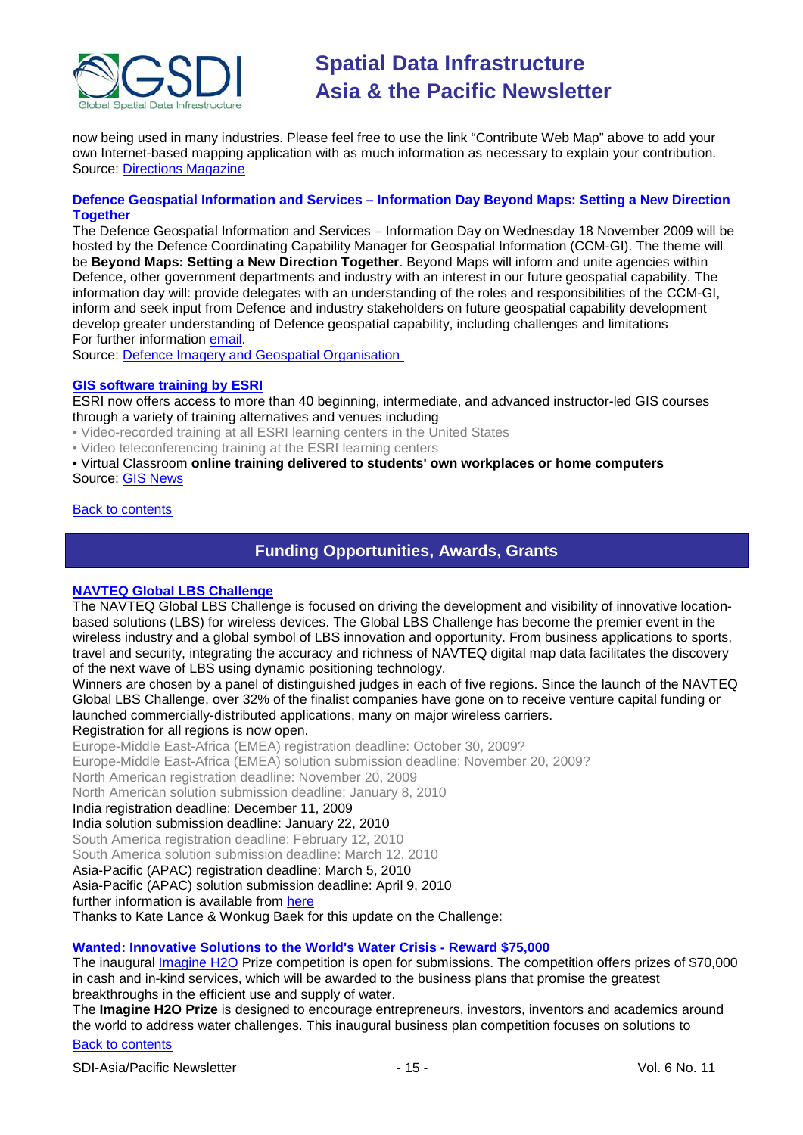

now being used in many industries. Please feel free to use the link "Contribute Web Map" above to add your own Internet-based mapping application with as much information as necessary to explain your contribution. Source: [Directions Magazine](http://www.directionsmag.com/webmapgallery/)

### **Defence Geospatial Information and Services – Information Day Beyond Maps: Setting a New Direction Together**

The Defence Geospatial Information and Services – Information Day on Wednesday 18 November 2009 will be hosted by the Defence Coordinating Capability Manager for Geospatial Information (CCM-GI). The theme will be **Beyond Maps: Setting a New Direction Together**. Beyond Maps will inform and unite agencies within Defence, other government departments and industry with an interest in our future geospatial capability. The information day will: provide delegates with an understanding of the roles and responsibilities of the CCM-GI, inform and seek input from Defence and industry stakeholders on future geospatial capability development develop greater understanding of Defence geospatial capability, including challenges and limitations For further information [email.](mailto:CCM.GI@defence.gov.au)

Source: [Defence Imagery and Geospatial Organisation](http://www.defence.gov.au/digo/informationday/index.html)

### **[GIS software training by ESRI](http://training.esri.com/gateway/index.cfm?fa=trainingOptions.gateway)**

ESRI now offers access to more than 40 beginning, intermediate, and advanced instructor-led GIS courses through a variety of training alternatives and venues including

• Video-recorded training at all ESRI learning centers in the United States

• Video teleconferencing training at the ESRI learning centers

• Virtual Classroom **online training delivered to students' own workplaces or home computers** Source: GIS News

### <span id="page-14-0"></span>[Back to contents](#page-0-0)

## **Funding Opportunities, Awards, Grants**

### **[NAVTEQ Global LBS Challenge](http://developer.navteq.com/site/global/market/lbs_challenge/p_lbs_home.jsp)**

The NAVTEQ Global LBS Challenge is focused on driving the development and visibility of innovative locationbased solutions (LBS) for wireless devices. The Global LBS Challenge has become the premier event in the wireless industry and a global symbol of LBS innovation and opportunity. From business applications to sports, travel and security, integrating the accuracy and richness of NAVTEQ digital map data facilitates the discovery of the next wave of LBS using dynamic positioning technology.

Winners are chosen by a panel of distinguished judges in each of five regions. Since the launch of the NAVTEQ Global LBS Challenge, over 32% of the finalist companies have gone on to receive venture capital funding or launched commercially-distributed applications, many on major wireless carriers.

### Registration for all regions is now open.

Europe-Middle East-Africa (EMEA) registration deadline: October 30, 2009?

Europe-Middle East-Africa (EMEA) solution submission deadline: November 20, 2009?

North American registration deadline: November 20, 2009

North American solution submission deadline: January 8, 2010

India registration deadline: December 11, 2009

#### India solution submission deadline: January 22, 2010

South America registration deadline: February 12, 2010

South America solution submission deadline: March 12, 2010

Asia-Pacific (APAC) registration deadline: March 5, 2010

Asia-Pacific (APAC) solution submission deadline: April 9, 2010

further information is available from [here](http://developer.navteq.com/site/global/market/lbs_challenge/p_lbs_home.jsp)

Thanks to Kate Lance & Wonkug Baek for this update on the Challenge:

### **Wanted: Innovative Solutions to the World's Water Crisis - Reward \$75,000**

The inaugural [Imagine H2O](http://rs6.net/tn.jsp?et=1102692682168&s=1648&e=001KNi8O8J5HTNvrducYEz93jzs97payj6xBdqU73x1GxZ2_e9wno_QSh4jw8c1b0LMi0GaB0OcyojMd-qpO3iXgY3eelXd7F_R3RS_OTixRrI95HaASwT5gQ==) Prize competition is open for submissions. The competition offers prizes of \$70,000 in cash and in-kind services, which will be awarded to the business plans that promise the greatest breakthroughs in the efficient use and supply of water.

The **Imagine H2O Prize** is designed to encourage entrepreneurs, investors, inventors and academics around the world to address water challenges. This inaugural business plan competition focuses on solutions to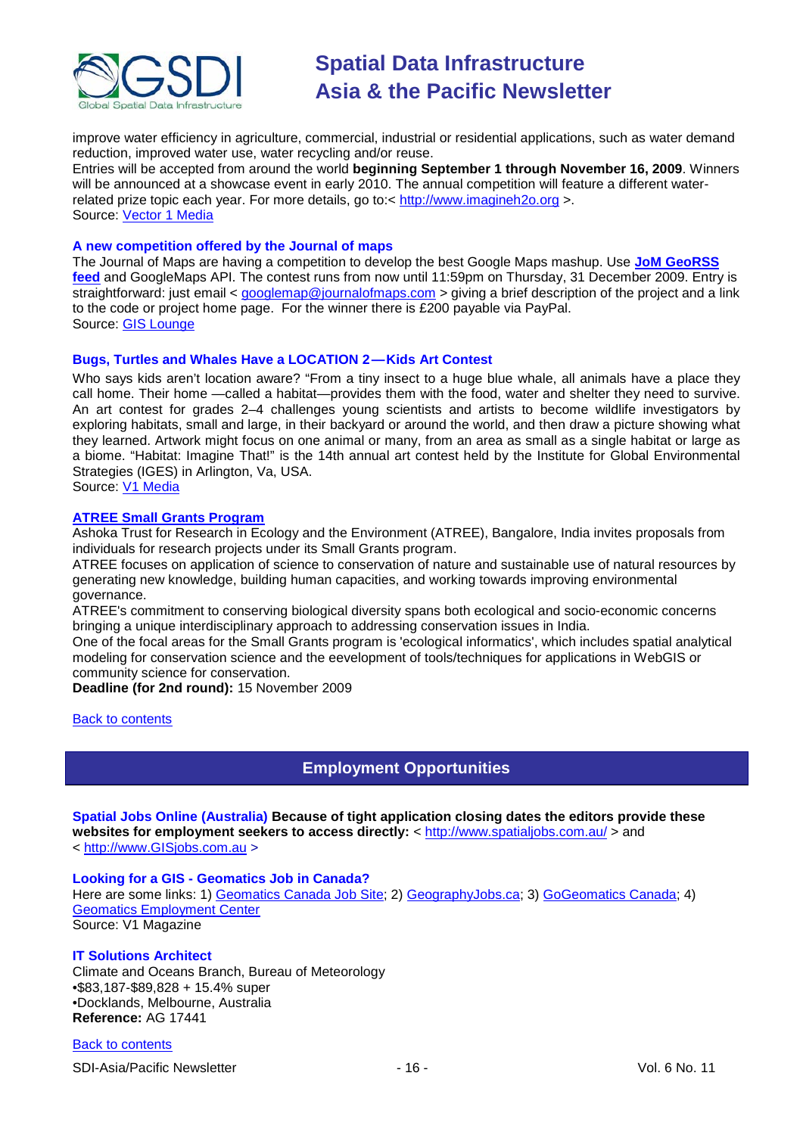

improve water efficiency in agriculture, commercial, industrial or residential applications, such as water demand reduction, improved water use, water recycling and/or reuse.

Entries will be accepted from around the world **beginning September 1 through November 16, 2009**. Winners will be announced at a showcase event in early 2010. The annual competition will feature a different waterrelated prize topic each year. For more details, go to:< [http://www.imagineh2o.org](http://www.imagineh2o.org/) >. Source: [Vector 1 Media](http://www.vector1media.com/top-stories/environment/wanted%3a-innovative-solutions-to-the-world%27s-water-crisis-%11-reward-%2475,000/)

### **A new competition offered by the Journal of maps**

The Journal of Maps are having a competition to develop the best Google Maps mashup. Use **[JoM GeoRSS](http://journalofmaps.com/about.php?helpfile=smartyRSS.xml)  [feed](http://journalofmaps.com/about.php?helpfile=smartyRSS.xml)** and GoogleMaps API. The contest runs from now until 11:59pm on Thursday, 31 December 2009. Entry is straightforward: just email < [googlemap@journalofmaps.com](mailto:%20googlemap@journalofmaps.com) > giving a brief description of the project and a link to the code or project home page. For the winner there is £200 payable via PayPal. Source: [GIS Lounge](http://gislounge.com/journal-of-maps-google-maps-mashup-competition/)

#### **Bugs, Turtles and Whales Have a LOCATION 2 — Kids Art Contest**

Who says kids aren't location aware? "From a tiny insect to a huge blue whale, all animals have a place they call home. Their home —called a habitat—provides them with the food, water and shelter they need to survive. An art contest for grades 2–4 challenges young scientists and artists to become wildlife investigators by exploring habitats, small and large, in their backyard or around the world, and then draw a picture showing what they learned. Artwork might focus on one animal or many, from an area as small as a single habitat or large as a biome. "Habitat: Imagine That!" is the 14th annual art contest held by the Institute for Global Environmental Strategies (IGES) in Arlington, Va, USA. Source: [V1 Media](http://vector1media.com/vectorone/?p=3824)

# **[ATREE Small Grants Program](http://www.atree.org/small_grants_2009.html)**

Ashoka Trust for Research in Ecology and the Environment (ATREE), Bangalore, India invites proposals from individuals for research projects under its Small Grants program.

ATREE focuses on application of science to conservation of nature and sustainable use of natural resources by generating new knowledge, building human capacities, and working towards improving environmental governance.

ATREE's commitment to conserving biological diversity spans both ecological and socio-economic concerns bringing a unique interdisciplinary approach to addressing conservation issues in India.

One of the focal areas for the Small Grants program is 'ecological informatics', which includes spatial analytical modeling for conservation science and the eevelopment of tools/techniques for applications in WebGIS or community science for conservation.

**Deadline (for 2nd round):** 15 November 2009

### <span id="page-15-0"></span>[Back to contents](#page-0-0)

# **Employment Opportunities**

**Spatial Jobs Online (Australia) Because of tight application closing dates the editors provide these**  websites for employment seekers to access directly: <<http://www.spatialjobs.com.au/> > and < [http://www.GISjobs.com.au](http://www.gisjobs.com.au/) >

## **Looking for a GIS - Geomatics Job in Canada?**

Here are some links: 1) [Geomatics Canada Job](http://geomaticscanada.com/jobs.cfm) Site; 2) [GeographyJobs.ca;](http://www.geographyjobs.ca/) 3) [GoGeomatics Canada;](http://canada.gogeomatics.net/frmHome.aspx) 4) [Geomatics Employment Center](http://gisjobs.ca/) Source: V1 Magazine

### **IT Solutions Architect**

Climate and Oceans Branch, Bureau of Meteorology •\$83,187-\$89,828 + 15.4% super •Docklands, Melbourne, Australia **Reference:** AG 17441

#### [Back to contents](#page-0-0)

SDI-Asia/Pacific Newsletter  $\sim$  16 - 16 - Vol. 6 No. 11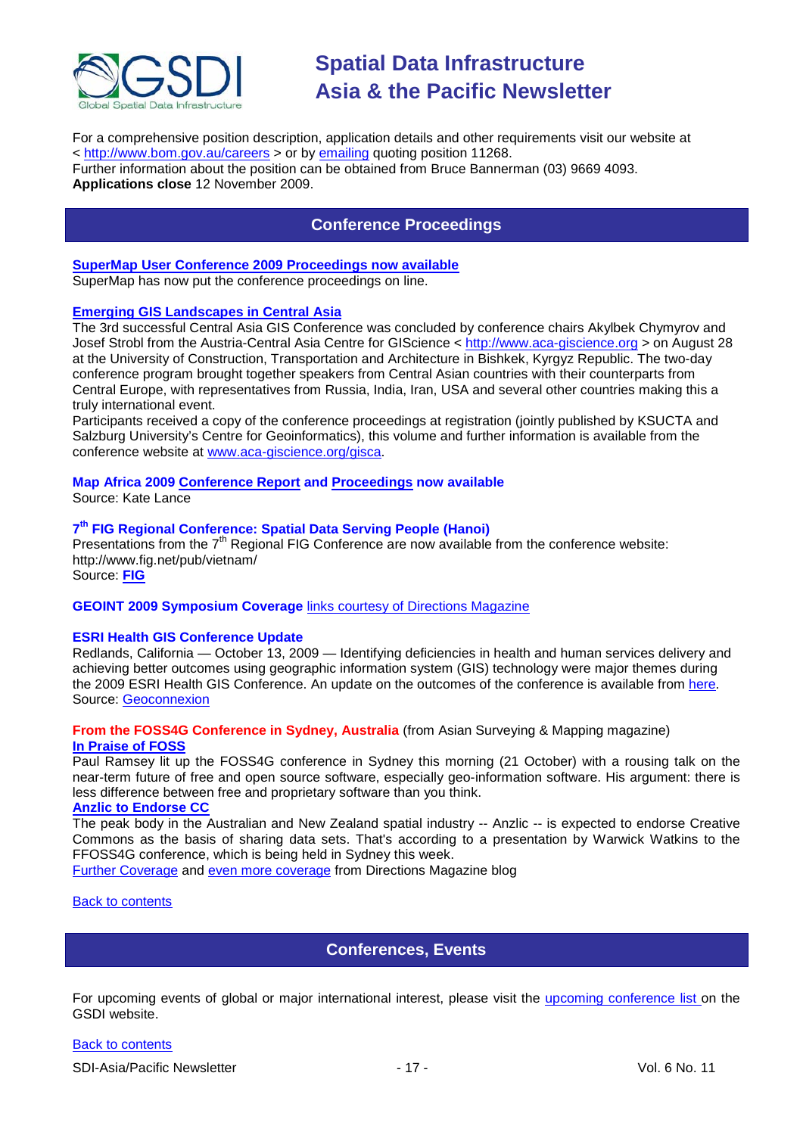

For a comprehensive position description, application details and other requirements visit our website at <<http://www.bom.gov.au/careers> > or by [emailing](mailto:jobs@bom.gov.au) quoting position 11268. Further information about the position can be obtained from Bruce Bannerman (03) 9669 4093.

<span id="page-16-0"></span>**Applications close** 12 November 2009.

# **Conference Proceedings**

### **[SuperMap User Conference 2009 Proceedings now available](http://www.supermap.com/events/SGC2009/index.asp)**

SuperMap has now put the conference proceedings on line.

### **[Emerging GIS Landscapes in Central Asia](http://vector1media.com/events/event-coverage/8841-emerging-gis-landscapes-in-central-asia)**

The 3rd successful Central Asia GIS Conference was concluded by conference chairs Akylbek Chymyrov and Josef Strobl from the Austria-Central Asia Centre for GIScience < [http://www.aca-giscience.org](http://www.aca-giscience.org/) > on August 28 at the University of Construction, Transportation and Architecture in Bishkek, Kyrgyz Republic. The two-day conference program brought together speakers from Central Asian countries with their counterparts from Central Europe, with representatives from Russia, India, Iran, USA and several other countries making this a truly international event.

Participants received a copy of the conference proceedings at registration (jointly published by KSUCTA and Salzburg University's Centre for Geoinformatics), this volume and further information is available from the conference website at [www.aca-giscience.org/gisca.](http://www.aca-giscience.org/gisca)

# **Map Africa 2009 [Conference Report](http://www.gisdevelopment.net/magazine/global/2009/October/50.htm) and [Proceedings](http://mapafrica.gisdevelopment.net/2009/proceeding/index.htm) now available**

Source: Kate Lance

### **7th FIG Regional Conference: Spatial Data Serving People (Hanoi)**

Presentations from the  $7<sup>th</sup>$  Regional FIG Conference are now available from the conference website: http://www.fig.net/pub/vietnam/

Source: **[FIG](http://www.fig.net/pub/vietnam/)**

### **GEOINT 2009 Symposium Coverage** [links courtesy of Directions Magazine](http://www.directionsmedia.net/newsletters.archive/index.php?ID=1516)

### **ESRI Health GIS Conference Update**

Redlands, California — October 13, 2009 — Identifying deficiencies in health and human services delivery and achieving better outcomes using geographic information system (GIS) technology were major themes during the 2009 ESRI Health GIS Conference. An update on the outcomes of the conference is available from [here.](http://www.geoconnexion.com/geo_news_article/ESRI-Health-GIS-Conference-Update/6769) Source: [Geoconnexion](http://www.geoconnexion.com/geo_news_article/ESRI-Health-GIS-Conference-Update/6769)

### **From the FOSS4G Conference in Sydney, Australia** (from Asian Surveying & Mapping magazine) **[In Praise of FOSS](http://www.asmmag.com/news/in-praise-of-foss)**

Paul Ramsey lit up the FOSS4G conference in Sydney this morning (21 October) with a rousing talk on the near-term future of free and open source software, especially geo-information software. His argument: there is less difference between free and proprietary software than you think.

### **[Anzlic to Endorse CC](http://www.asmmag.com/news/anzlic-to-endorse-cc)**

The peak body in the Australian and New Zealand spatial industry -- Anzlic -- is expected to endorse Creative Commons as the basis of sharing data sets. That's according to a presentation by Warwick Watkins to the FFOSS4G conference, which is being held in Sydney this week.

[Further Coverage](http://apb.directionsmag.com/archives/6687-FOSS4G-Coverage-II.html) and [even more coverage](http://www.directionsmag.com/article.php?article_id=3314) from Directions Magazine blog

<span id="page-16-1"></span>[Back to contents](#page-0-0)

# **Conferences, Events**

For upcoming events of global or major international interest, please visit the [upcoming conference list o](http://gsdi.org/events/upcnf.asp)n the GSDI website.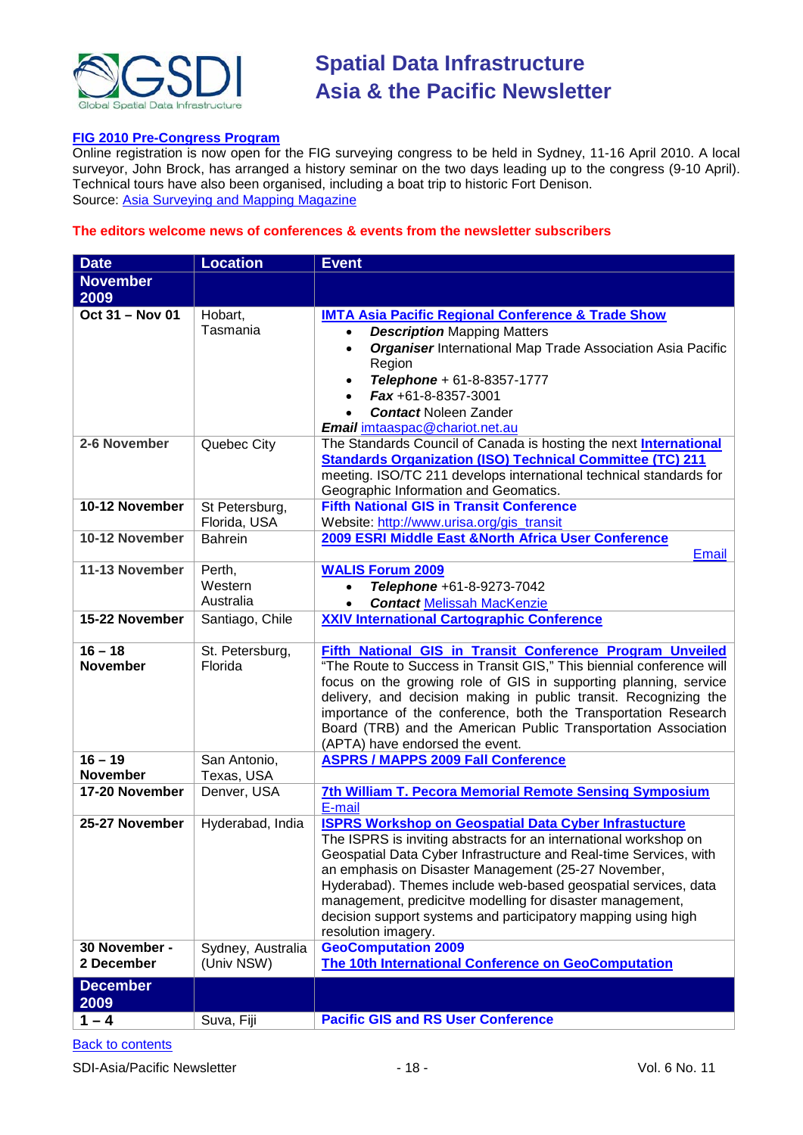

### **[FIG 2010 Pre-Congress Program](http://www.asmmag.com/news/fig-2010-pre-congress-program)**

Online registration is now open for the FIG surveying congress to be held in Sydney, 11-16 April 2010. A local surveyor, John Brock, has arranged a history seminar on the two days leading up to the congress (9-10 April). Technical tours have also been organised, including a boat trip to historic Fort Denison. Source: [Asia Surveying and Mapping Magazine](http://www.asmmag.com/news/fig-2010-pre-congress-program)

### **The editors welcome news of conferences & events from the newsletter subscribers**

| <b>Date</b>            | <b>Location</b>   | <b>Event</b>                                                                                                                         |
|------------------------|-------------------|--------------------------------------------------------------------------------------------------------------------------------------|
| <b>November</b>        |                   |                                                                                                                                      |
| 2009                   |                   |                                                                                                                                      |
| <b>Oct 31 - Nov 01</b> | Hobart,           | <b>IMTA Asia Pacific Regional Conference &amp; Trade Show</b>                                                                        |
|                        | Tasmania          | <b>Description Mapping Matters</b>                                                                                                   |
|                        |                   | <b>Organiser International Map Trade Association Asia Pacific</b>                                                                    |
|                        |                   | Region                                                                                                                               |
|                        |                   | Telephone + 61-8-8357-1777                                                                                                           |
|                        |                   | $Fax + 61 - 8 - 8357 - 3001$<br>$\bullet$                                                                                            |
|                        |                   | <b>Contact Noleen Zander</b>                                                                                                         |
|                        |                   | Email imtaaspac@chariot.net.au                                                                                                       |
| 2-6 November           | Quebec City       | The Standards Council of Canada is hosting the next <b>International</b>                                                             |
|                        |                   | <b>Standards Organization (ISO) Technical Committee (TC) 211</b>                                                                     |
|                        |                   | meeting. ISO/TC 211 develops international technical standards for<br>Geographic Information and Geomatics.                          |
| 10-12 November         | St Petersburg,    | <b>Fifth National GIS in Transit Conference</b>                                                                                      |
|                        | Florida, USA      | Website: http://www.urisa.org/gis_transit                                                                                            |
| 10-12 November         | <b>Bahrein</b>    | 2009 ESRI Middle East & North Africa User Conference                                                                                 |
|                        |                   | Email                                                                                                                                |
| 11-13 November         | Perth,            | <b>WALIS Forum 2009</b>                                                                                                              |
|                        | Western           | Telephone +61-8-9273-7042<br>$\bullet$                                                                                               |
|                        | Australia         | <b>Contact Melissah MacKenzie</b><br>$\bullet$                                                                                       |
| 15-22 November         | Santiago, Chile   | <b>XXIV International Cartographic Conference</b>                                                                                    |
|                        |                   |                                                                                                                                      |
| $16 - 18$              | St. Petersburg,   | Fifth National GIS in Transit Conference Program Unveiled                                                                            |
| <b>November</b>        | Florida           | "The Route to Success in Transit GIS," This biennial conference will                                                                 |
|                        |                   | focus on the growing role of GIS in supporting planning, service<br>delivery, and decision making in public transit. Recognizing the |
|                        |                   | importance of the conference, both the Transportation Research                                                                       |
|                        |                   | Board (TRB) and the American Public Transportation Association                                                                       |
|                        |                   | (APTA) have endorsed the event.                                                                                                      |
| $16 - 19$              | San Antonio,      | <b>ASPRS / MAPPS 2009 Fall Conference</b>                                                                                            |
| <b>November</b>        | Texas, USA        |                                                                                                                                      |
| 17-20 November         | Denver, USA       | <b>7th William T. Pecora Memorial Remote Sensing Symposium</b>                                                                       |
|                        |                   | E-mail                                                                                                                               |
| 25-27 November         | Hyderabad, India  | <b>ISPRS Workshop on Geospatial Data Cyber Infrastucture</b>                                                                         |
|                        |                   | The ISPRS is inviting abstracts for an international workshop on                                                                     |
|                        |                   | Geospatial Data Cyber Infrastructure and Real-time Services, with                                                                    |
|                        |                   | an emphasis on Disaster Management (25-27 November,                                                                                  |
|                        |                   | Hyderabad). Themes include web-based geospatial services, data<br>management, predicitve modelling for disaster management,          |
|                        |                   | decision support systems and participatory mapping using high                                                                        |
|                        |                   | resolution imagery.                                                                                                                  |
| 30 November -          | Sydney, Australia | <b>GeoComputation 2009</b>                                                                                                           |
| 2 December             | (Univ NSW)        | The 10th International Conference on GeoComputation                                                                                  |
|                        |                   |                                                                                                                                      |
| 2009                   |                   |                                                                                                                                      |
| $1 - 4$                | Suva, Fiji        | <b>Pacific GIS and RS User Conference</b>                                                                                            |
| <b>December</b>        |                   |                                                                                                                                      |
|                        |                   |                                                                                                                                      |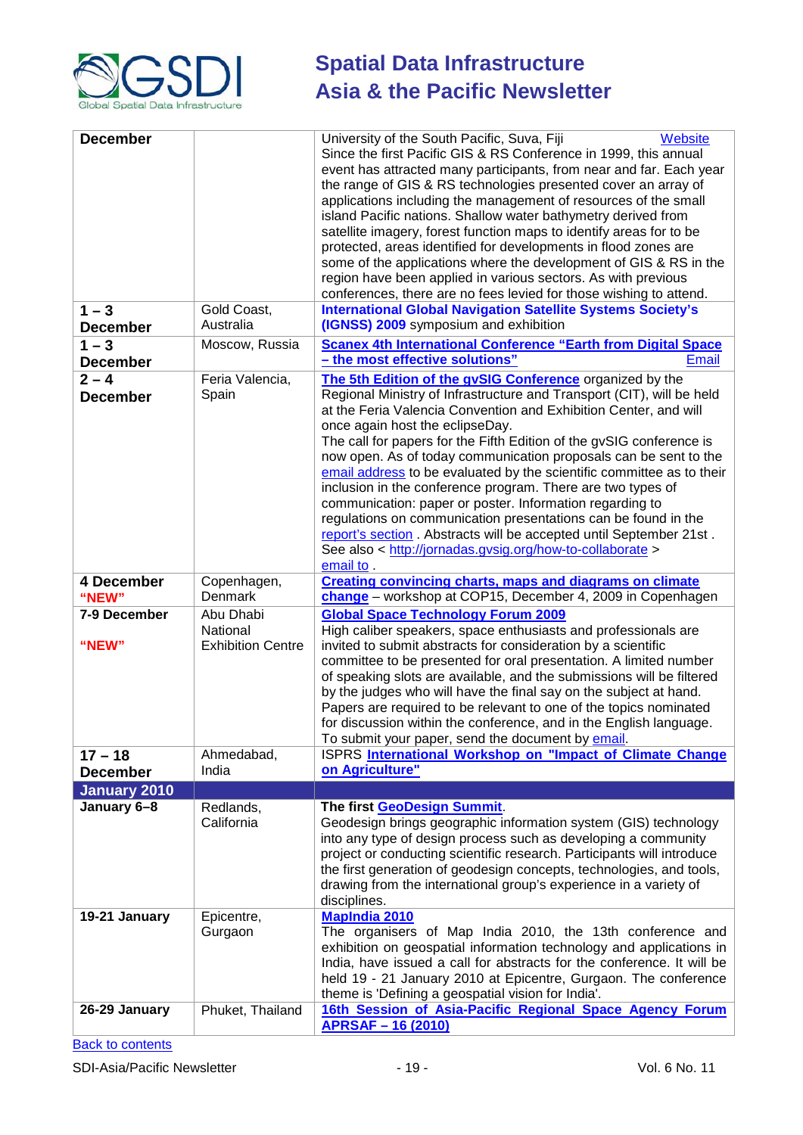

| <b>December</b>            |                          | University of the South Pacific, Suva, Fiji<br>Website<br>Since the first Pacific GIS & RS Conference in 1999, this annual<br>event has attracted many participants, from near and far. Each year<br>the range of GIS & RS technologies presented cover an array of<br>applications including the management of resources of the small<br>island Pacific nations. Shallow water bathymetry derived from<br>satellite imagery, forest function maps to identify areas for to be<br>protected, areas identified for developments in flood zones are<br>some of the applications where the development of GIS & RS in the<br>region have been applied in various sectors. As with previous<br>conferences, there are no fees levied for those wishing to attend.                                               |
|----------------------------|--------------------------|-------------------------------------------------------------------------------------------------------------------------------------------------------------------------------------------------------------------------------------------------------------------------------------------------------------------------------------------------------------------------------------------------------------------------------------------------------------------------------------------------------------------------------------------------------------------------------------------------------------------------------------------------------------------------------------------------------------------------------------------------------------------------------------------------------------|
| $1 - 3$                    | Gold Coast,              | <b>International Global Navigation Satellite Systems Society's</b>                                                                                                                                                                                                                                                                                                                                                                                                                                                                                                                                                                                                                                                                                                                                          |
| <b>December</b>            | Australia                | (IGNSS) 2009 symposium and exhibition                                                                                                                                                                                                                                                                                                                                                                                                                                                                                                                                                                                                                                                                                                                                                                       |
| $1 - 3$                    | Moscow, Russia           | <b>Scanex 4th International Conference "Earth from Digital Space</b>                                                                                                                                                                                                                                                                                                                                                                                                                                                                                                                                                                                                                                                                                                                                        |
| <b>December</b>            |                          | - the most effective solutions"<br><b>Email</b>                                                                                                                                                                                                                                                                                                                                                                                                                                                                                                                                                                                                                                                                                                                                                             |
| $2 - 4$<br><b>December</b> | Feria Valencia,<br>Spain | The 5th Edition of the gvSIG Conference organized by the<br>Regional Ministry of Infrastructure and Transport (CIT), will be held<br>at the Feria Valencia Convention and Exhibition Center, and will<br>once again host the eclipseDay.<br>The call for papers for the Fifth Edition of the gvSIG conference is<br>now open. As of today communication proposals can be sent to the<br>email address to be evaluated by the scientific committee as to their<br>inclusion in the conference program. There are two types of<br>communication: paper or poster. Information regarding to<br>regulations on communication presentations can be found in the<br>report's section. Abstracts will be accepted until September 21st.<br>See also < http://jornadas.gvsig.org/how-to-collaborate ><br>email to . |
| 4 December<br>"NEW"        | Copenhagen,<br>Denmark   | <b>Creating convincing charts, maps and diagrams on climate</b><br>change - workshop at COP15, December 4, 2009 in Copenhagen                                                                                                                                                                                                                                                                                                                                                                                                                                                                                                                                                                                                                                                                               |
| 7-9 December               | Abu Dhabi<br>National    | <b>Global Space Technology Forum 2009</b><br>High caliber speakers, space enthusiasts and professionals are                                                                                                                                                                                                                                                                                                                                                                                                                                                                                                                                                                                                                                                                                                 |
| "NEW"                      | <b>Exhibition Centre</b> | invited to submit abstracts for consideration by a scientific<br>committee to be presented for oral presentation. A limited number<br>of speaking slots are available, and the submissions will be filtered<br>by the judges who will have the final say on the subject at hand.<br>Papers are required to be relevant to one of the topics nominated<br>for discussion within the conference, and in the English language.<br>To submit your paper, send the document by email.                                                                                                                                                                                                                                                                                                                            |
| $17 - 18$                  | Ahmedabad,               | ISPRS International Workshop on "Impact of Climate Change                                                                                                                                                                                                                                                                                                                                                                                                                                                                                                                                                                                                                                                                                                                                                   |
| <b>December</b>            | India                    | on Agriculture"                                                                                                                                                                                                                                                                                                                                                                                                                                                                                                                                                                                                                                                                                                                                                                                             |
| <b>January 2010</b>        |                          |                                                                                                                                                                                                                                                                                                                                                                                                                                                                                                                                                                                                                                                                                                                                                                                                             |
| January 6-8                | Redlands,<br>California  | The first GeoDesign Summit.<br>Geodesign brings geographic information system (GIS) technology<br>into any type of design process such as developing a community<br>project or conducting scientific research. Participants will introduce<br>the first generation of geodesign concepts, technologies, and tools,<br>drawing from the international group's experience in a variety of<br>disciplines.                                                                                                                                                                                                                                                                                                                                                                                                     |
| 19-21 January              | Epicentre,<br>Gurgaon    | <b>MapIndia 2010</b><br>The organisers of Map India 2010, the 13th conference and<br>exhibition on geospatial information technology and applications in<br>India, have issued a call for abstracts for the conference. It will be<br>held 19 - 21 January 2010 at Epicentre, Gurgaon. The conference<br>theme is 'Defining a geospatial vision for India'.                                                                                                                                                                                                                                                                                                                                                                                                                                                 |
| 26-29 January              | Phuket, Thailand         | 16th Session of Asia-Pacific Regional Space Agency Forum<br><b>APRSAF-16 (2010)</b>                                                                                                                                                                                                                                                                                                                                                                                                                                                                                                                                                                                                                                                                                                                         |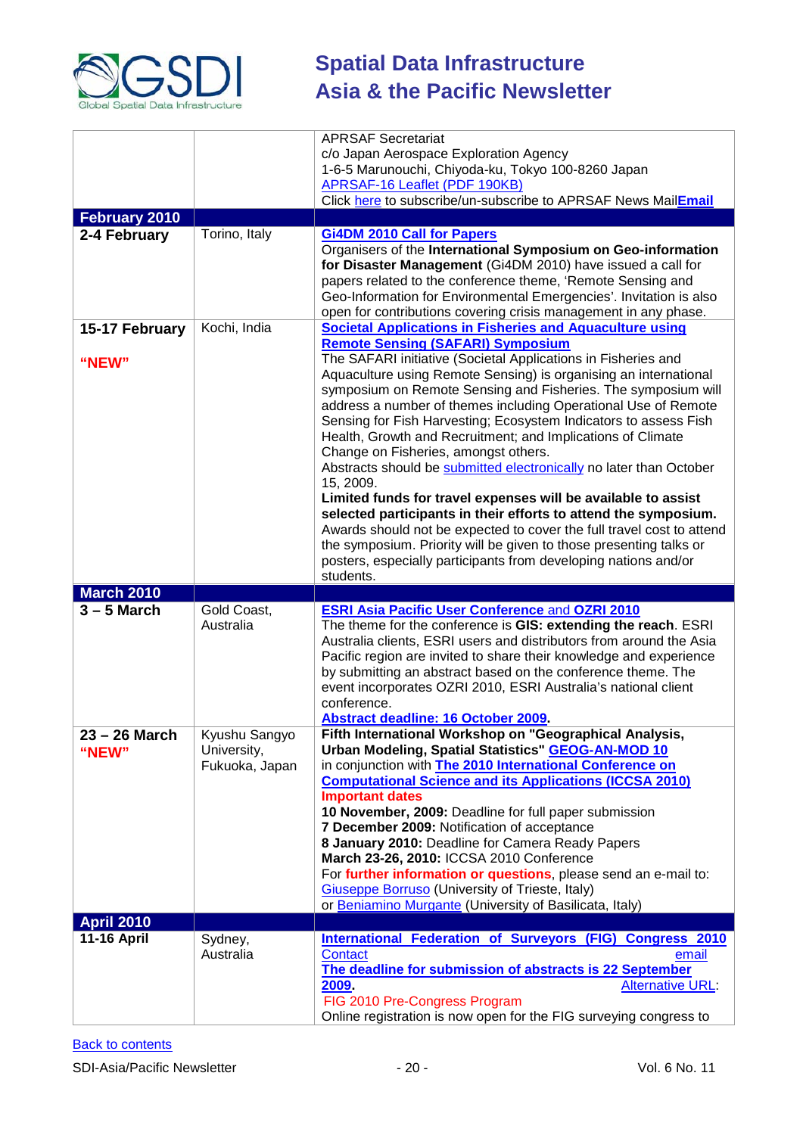

| <b>February 2010</b>   |                                                | <b>APRSAF Secretariat</b><br>c/o Japan Aerospace Exploration Agency<br>1-6-5 Marunouchi, Chiyoda-ku, Tokyo 100-8260 Japan<br>APRSAF-16 Leaflet (PDF 190KB)<br>Click here to subscribe/un-subscribe to APRSAF News MailEmail                                                                                                                                                                                                                                                                                                                                                                                                                                                                                                                                                                                                                                                                                                                       |
|------------------------|------------------------------------------------|---------------------------------------------------------------------------------------------------------------------------------------------------------------------------------------------------------------------------------------------------------------------------------------------------------------------------------------------------------------------------------------------------------------------------------------------------------------------------------------------------------------------------------------------------------------------------------------------------------------------------------------------------------------------------------------------------------------------------------------------------------------------------------------------------------------------------------------------------------------------------------------------------------------------------------------------------|
|                        |                                                |                                                                                                                                                                                                                                                                                                                                                                                                                                                                                                                                                                                                                                                                                                                                                                                                                                                                                                                                                   |
| 2-4 February           | Torino, Italy                                  | <b>Gi4DM 2010 Call for Papers</b><br>Organisers of the International Symposium on Geo-information<br>for Disaster Management (Gi4DM 2010) have issued a call for<br>papers related to the conference theme, 'Remote Sensing and<br>Geo-Information for Environmental Emergencies'. Invitation is also<br>open for contributions covering crisis management in any phase.                                                                                                                                                                                                                                                                                                                                                                                                                                                                                                                                                                          |
| 15-17 February         | Kochi, India                                   | <b>Societal Applications in Fisheries and Aquaculture using</b>                                                                                                                                                                                                                                                                                                                                                                                                                                                                                                                                                                                                                                                                                                                                                                                                                                                                                   |
| "NEW"                  |                                                | <b>Remote Sensing (SAFARI) Symposium</b><br>The SAFARI initiative (Societal Applications in Fisheries and<br>Aquaculture using Remote Sensing) is organising an international<br>symposium on Remote Sensing and Fisheries. The symposium will<br>address a number of themes including Operational Use of Remote<br>Sensing for Fish Harvesting; Ecosystem Indicators to assess Fish<br>Health, Growth and Recruitment; and Implications of Climate<br>Change on Fisheries, amongst others.<br>Abstracts should be submitted electronically no later than October<br>15, 2009.<br>Limited funds for travel expenses will be available to assist<br>selected participants in their efforts to attend the symposium.<br>Awards should not be expected to cover the full travel cost to attend<br>the symposium. Priority will be given to those presenting talks or<br>posters, especially participants from developing nations and/or<br>students. |
| <b>March 2010</b>      |                                                |                                                                                                                                                                                                                                                                                                                                                                                                                                                                                                                                                                                                                                                                                                                                                                                                                                                                                                                                                   |
| $3 - 5$ March          | Gold Coast,<br>Australia                       | <b>ESRI Asia Pacific User Conference and OZRI 2010</b><br>The theme for the conference is GIS: extending the reach. ESRI<br>Australia clients, ESRI users and distributors from around the Asia<br>Pacific region are invited to share their knowledge and experience<br>by submitting an abstract based on the conference theme. The<br>event incorporates OZRI 2010, ESRI Australia's national client<br>conference.<br>Abstract deadline: 16 October 2009.                                                                                                                                                                                                                                                                                                                                                                                                                                                                                     |
| 23 – 26 March<br>"NEW" | Kyushu Sangyo<br>University,<br>Fukuoka, Japan | Fifth International Workshop on "Geographical Analysis,<br>Urban Modeling, Spatial Statistics" GEOG-AN-MOD 10<br>in conjunction with The 2010 International Conference on<br><b>Computational Science and its Applications (ICCSA 2010)</b><br><b>Important dates</b><br>10 November, 2009: Deadline for full paper submission<br>7 December 2009: Notification of acceptance<br>8 January 2010: Deadline for Camera Ready Papers<br>March 23-26, 2010: ICCSA 2010 Conference<br>For further information or questions, please send an e-mail to:<br>Giuseppe Borruso (University of Trieste, Italy)<br>or Beniamino Murgante (University of Basilicata, Italy)                                                                                                                                                                                                                                                                                    |
| <b>April 2010</b>      |                                                |                                                                                                                                                                                                                                                                                                                                                                                                                                                                                                                                                                                                                                                                                                                                                                                                                                                                                                                                                   |
| <b>11-16 April</b>     | Sydney,<br>Australia                           | International Federation of Surveyors (FIG) Congress 2010<br>Contact<br>email<br>The deadline for submission of abstracts is 22 September<br>2009.<br>Alternative URL                                                                                                                                                                                                                                                                                                                                                                                                                                                                                                                                                                                                                                                                                                                                                                             |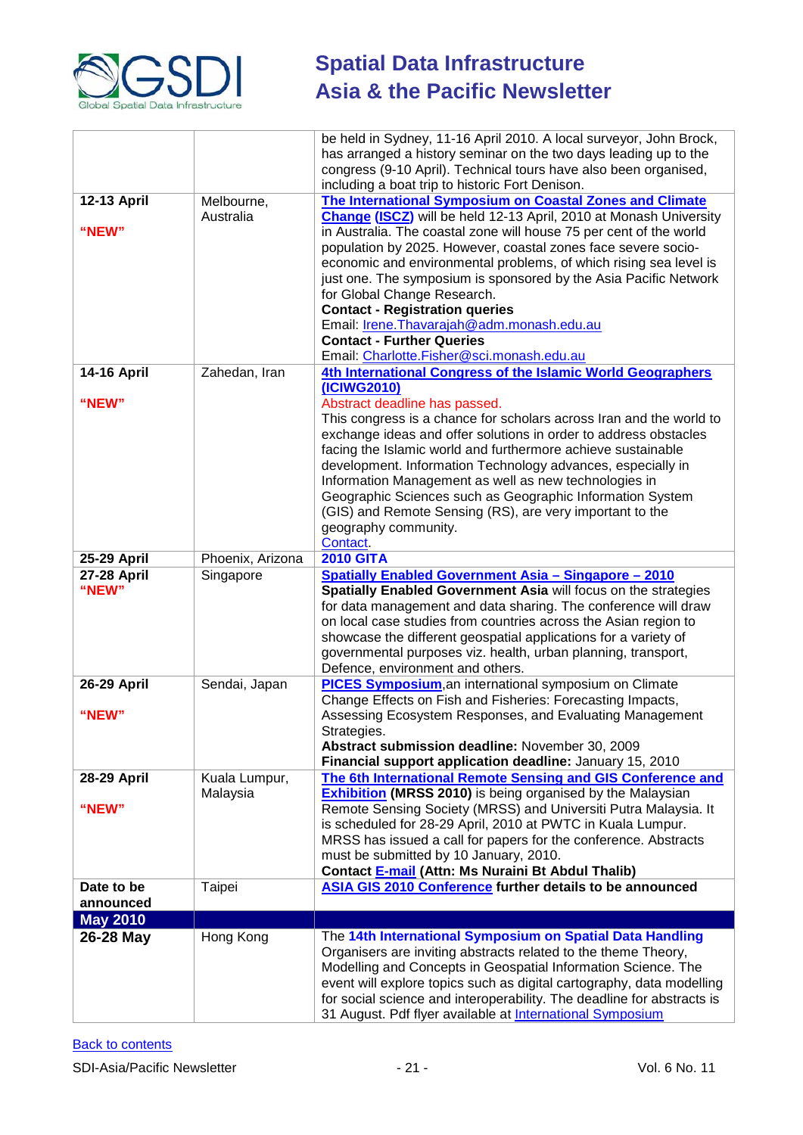

|                             |                  | be held in Sydney, 11-16 April 2010. A local surveyor, John Brock,<br>has arranged a history seminar on the two days leading up to the<br>congress (9-10 April). Technical tours have also been organised,<br>including a boat trip to historic Fort Denison.                                                                                                                                                                              |
|-----------------------------|------------------|--------------------------------------------------------------------------------------------------------------------------------------------------------------------------------------------------------------------------------------------------------------------------------------------------------------------------------------------------------------------------------------------------------------------------------------------|
| 12-13 April                 | Melbourne,       | The International Symposium on Coastal Zones and Climate                                                                                                                                                                                                                                                                                                                                                                                   |
|                             | Australia        | Change (ISCZ) will be held 12-13 April, 2010 at Monash University                                                                                                                                                                                                                                                                                                                                                                          |
| "NEW"                       |                  | in Australia. The coastal zone will house 75 per cent of the world<br>population by 2025. However, coastal zones face severe socio-<br>economic and environmental problems, of which rising sea level is<br>just one. The symposium is sponsored by the Asia Pacific Network<br>for Global Change Research.<br><b>Contact - Registration queries</b><br>Email: Irene. Thavarajah@adm. monash. edu. au                                      |
|                             |                  | <b>Contact - Further Queries</b>                                                                                                                                                                                                                                                                                                                                                                                                           |
|                             |                  | Email: Charlotte.Fisher@sci.monash.edu.au                                                                                                                                                                                                                                                                                                                                                                                                  |
| <b>14-16 April</b>          | Zahedan, Iran    | 4th International Congress of the Islamic World Geographers<br>(ICIWG2010)                                                                                                                                                                                                                                                                                                                                                                 |
| "NEW"                       |                  | Abstract deadline has passed.                                                                                                                                                                                                                                                                                                                                                                                                              |
|                             |                  | This congress is a chance for scholars across Iran and the world to                                                                                                                                                                                                                                                                                                                                                                        |
|                             |                  | exchange ideas and offer solutions in order to address obstacles<br>facing the Islamic world and furthermore achieve sustainable<br>development. Information Technology advances, especially in<br>Information Management as well as new technologies in<br>Geographic Sciences such as Geographic Information System<br>(GIS) and Remote Sensing (RS), are very important to the<br>geography community.<br>Contact.                      |
| 25-29 April                 | Phoenix, Arizona | <b>2010 GITA</b>                                                                                                                                                                                                                                                                                                                                                                                                                           |
| <b>27-28 April</b><br>"NEW" | Singapore        | <b>Spatially Enabled Government Asia - Singapore - 2010</b><br>Spatially Enabled Government Asia will focus on the strategies<br>for data management and data sharing. The conference will draw<br>on local case studies from countries across the Asian region to<br>showcase the different geospatial applications for a variety of<br>governmental purposes viz. health, urban planning, transport,<br>Defence, environment and others. |
| <b>26-29 April</b>          | Sendai, Japan    | PICES Symposium, an international symposium on Climate                                                                                                                                                                                                                                                                                                                                                                                     |
| "NEW"                       |                  | Change Effects on Fish and Fisheries: Forecasting Impacts,<br>Assessing Ecosystem Responses, and Evaluating Management<br>Strategies.<br>Abstract submission deadline: November 30, 2009<br>Financial support application deadline: January 15, 2010                                                                                                                                                                                       |
| 28-29 April                 | Kuala Lumpur,    | The 6th International Remote Sensing and GIS Conference and                                                                                                                                                                                                                                                                                                                                                                                |
| "NEW"                       | Malaysia         | <b>Exhibition (MRSS 2010)</b> is being organised by the Malaysian<br>Remote Sensing Society (MRSS) and Universiti Putra Malaysia. It<br>is scheduled for 28-29 April, 2010 at PWTC in Kuala Lumpur.<br>MRSS has issued a call for papers for the conference. Abstracts<br>must be submitted by 10 January, 2010.<br>Contact E-mail (Attn: Ms Nuraini Bt Abdul Thalib)                                                                      |
| Date to be                  | Taipei           | ASIA GIS 2010 Conference further details to be announced                                                                                                                                                                                                                                                                                                                                                                                   |
| announced                   |                  |                                                                                                                                                                                                                                                                                                                                                                                                                                            |
| <b>May 2010</b>             |                  |                                                                                                                                                                                                                                                                                                                                                                                                                                            |
| 26-28 May                   | Hong Kong        | The 14th International Symposium on Spatial Data Handling<br>Organisers are inviting abstracts related to the theme Theory,<br>Modelling and Concepts in Geospatial Information Science. The<br>event will explore topics such as digital cartography, data modelling<br>for social science and interoperability. The deadline for abstracts is<br>31 August. Pdf flyer available at <b>International Symposium</b>                        |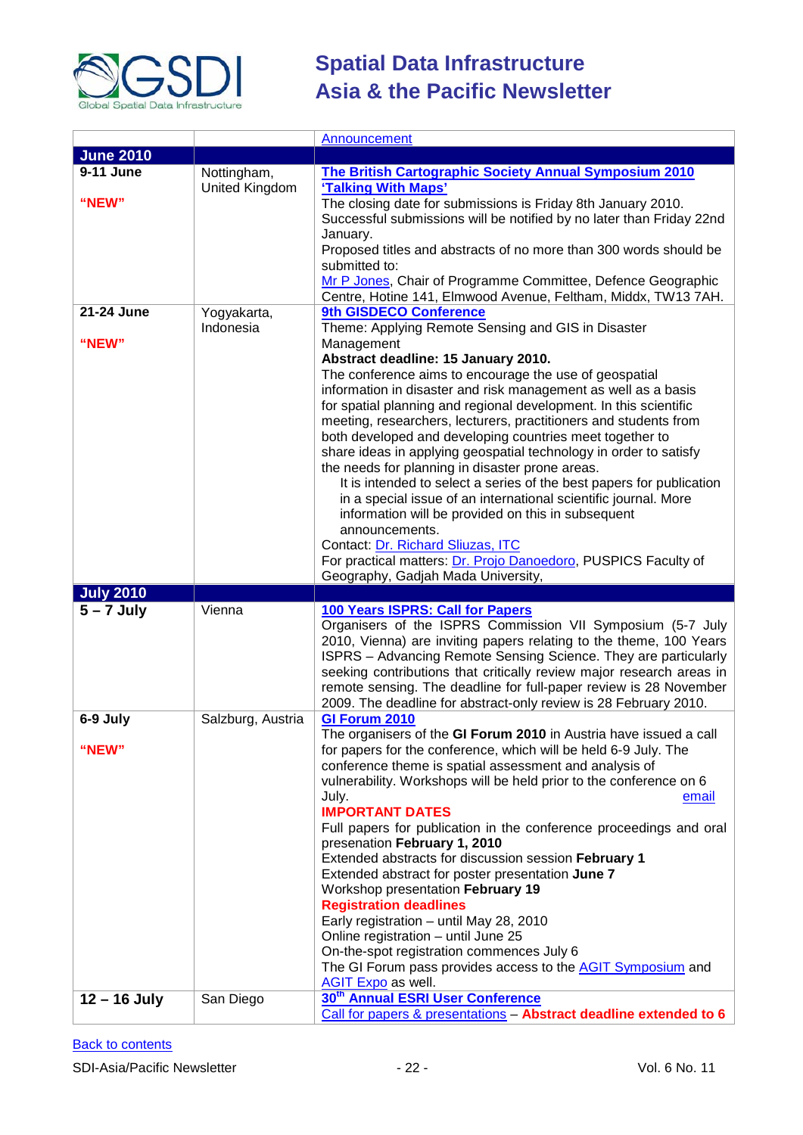

|                  |                   | Announcement                                                         |
|------------------|-------------------|----------------------------------------------------------------------|
| <b>June 2010</b> |                   |                                                                      |
| 9-11 June        | Nottingham,       | The British Cartographic Society Annual Symposium 2010               |
|                  | United Kingdom    | 'Talking With Maps'                                                  |
| "NEW"            |                   | The closing date for submissions is Friday 8th January 2010.         |
|                  |                   | Successful submissions will be notified by no later than Friday 22nd |
|                  |                   | January.                                                             |
|                  |                   | Proposed titles and abstracts of no more than 300 words should be    |
|                  |                   | submitted to:                                                        |
|                  |                   | Mr P Jones, Chair of Programme Committee, Defence Geographic         |
|                  |                   | Centre, Hotine 141, Elmwood Avenue, Feltham, Middx, TW13 7AH.        |
| 21-24 June       | Yogyakarta,       | 9th GISDECO Conference                                               |
|                  | Indonesia         | Theme: Applying Remote Sensing and GIS in Disaster                   |
| "NEW"            |                   | Management                                                           |
|                  |                   | Abstract deadline: 15 January 2010.                                  |
|                  |                   | The conference aims to encourage the use of geospatial               |
|                  |                   | information in disaster and risk management as well as a basis       |
|                  |                   | for spatial planning and regional development. In this scientific    |
|                  |                   | meeting, researchers, lecturers, practitioners and students from     |
|                  |                   | both developed and developing countries meet together to             |
|                  |                   | share ideas in applying geospatial technology in order to satisfy    |
|                  |                   | the needs for planning in disaster prone areas.                      |
|                  |                   | It is intended to select a series of the best papers for publication |
|                  |                   | in a special issue of an international scientific journal. More      |
|                  |                   | information will be provided on this in subsequent                   |
|                  |                   | announcements.                                                       |
|                  |                   | Contact: Dr. Richard Sliuzas, ITC                                    |
|                  |                   | For practical matters: Dr. Projo Danoedoro, PUSPICS Faculty of       |
|                  |                   |                                                                      |
|                  |                   | Geography, Gadjah Mada University,                                   |
| <b>July 2010</b> |                   |                                                                      |
| $5 - 7$ July     | Vienna            | 100 Years ISPRS: Call for Papers                                     |
|                  |                   | Organisers of the ISPRS Commission VII Symposium (5-7 July           |
|                  |                   | 2010, Vienna) are inviting papers relating to the theme, 100 Years   |
|                  |                   | ISPRS - Advancing Remote Sensing Science. They are particularly      |
|                  |                   | seeking contributions that critically review major research areas in |
|                  |                   | remote sensing. The deadline for full-paper review is 28 November    |
|                  |                   | 2009. The deadline for abstract-only review is 28 February 2010.     |
| 6-9 July         | Salzburg, Austria | GI Forum 2010                                                        |
|                  |                   | The organisers of the GI Forum 2010 in Austria have issued a call    |
| "NEW"            |                   | for papers for the conference, which will be held 6-9 July. The      |
|                  |                   | conference theme is spatial assessment and analysis of               |
|                  |                   | vulnerability. Workshops will be held prior to the conference on 6   |
|                  |                   | July.<br>email                                                       |
|                  |                   | <b>IMPORTANT DATES</b>                                               |
|                  |                   | Full papers for publication in the conference proceedings and oral   |
|                  |                   | presenation February 1, 2010                                         |
|                  |                   | Extended abstracts for discussion session February 1                 |
|                  |                   | Extended abstract for poster presentation June 7                     |
|                  |                   | Workshop presentation February 19                                    |
|                  |                   | <b>Registration deadlines</b>                                        |
|                  |                   | Early registration - until May 28, 2010                              |
|                  |                   | Online registration - until June 25                                  |
|                  |                   | On-the-spot registration commences July 6                            |
|                  |                   | The GI Forum pass provides access to the <b>AGIT Symposium</b> and   |
| $12 - 16$ July   | San Diego         | AGIT Expo as well.<br>30 <sup>th</sup> Annual ESRI User Conference   |